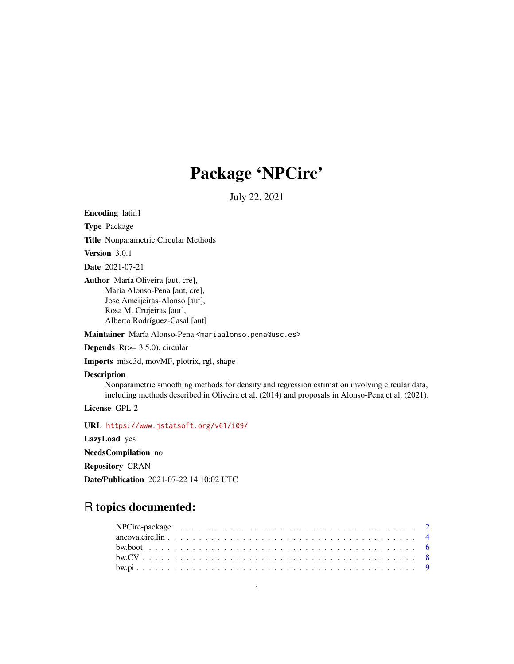# Package 'NPCirc'

July 22, 2021

<span id="page-0-0"></span>Encoding latin1

Type Package

Title Nonparametric Circular Methods

Version 3.0.1

Date 2021-07-21

Author María Oliveira [aut, cre], María Alonso-Pena [aut, cre], Jose Ameijeiras-Alonso [aut], Rosa M. Crujeiras [aut], Alberto Rodríguez-Casal [aut]

Maintainer María Alonso-Pena <mariaalonso.pena@usc.es>

**Depends**  $R$ ( $> = 3.5.0$ ), circular

Imports misc3d, movMF, plotrix, rgl, shape

## Description

Nonparametric smoothing methods for density and regression estimation involving circular data, including methods described in Oliveira et al. (2014) and proposals in Alonso-Pena et al. (2021).

License GPL-2

URL <https://www.jstatsoft.org/v61/i09/>

LazyLoad yes

NeedsCompilation no

Repository CRAN

Date/Publication 2021-07-22 14:10:02 UTC

## R topics documented: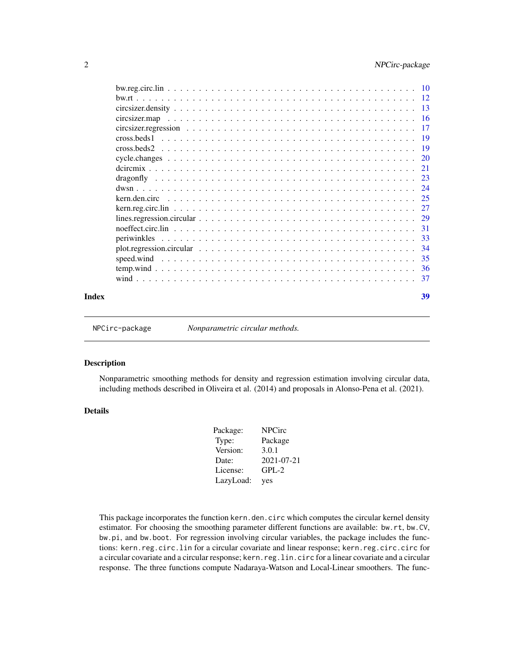<span id="page-1-0"></span>

NPCirc-package *Nonparametric circular methods.*

## Description

Nonparametric smoothing methods for density and regression estimation involving circular data, including methods described in Oliveira et al. (2014) and proposals in Alonso-Pena et al. (2021).

## Details

| Package:  | <b>NPCirc</b> |
|-----------|---------------|
| Type:     | Package       |
| Version:  | 3.0.1         |
| Date:     | 2021-07-21    |
| License:  | $GPL-2$       |
| LazyLoad: | yes           |

This package incorporates the function kern.den.circ which computes the circular kernel density estimator. For choosing the smoothing parameter different functions are available: bw.rt, bw.CV, bw.pi, and bw.boot. For regression involving circular variables, the package includes the functions: kern.reg.circ.lin for a circular covariate and linear response; kern.reg.circ.circ for a circular covariate and a circular response; kern.reg.lin.circ for a linear covariate and a circular response. The three functions compute Nadaraya-Watson and Local-Linear smoothers. The func-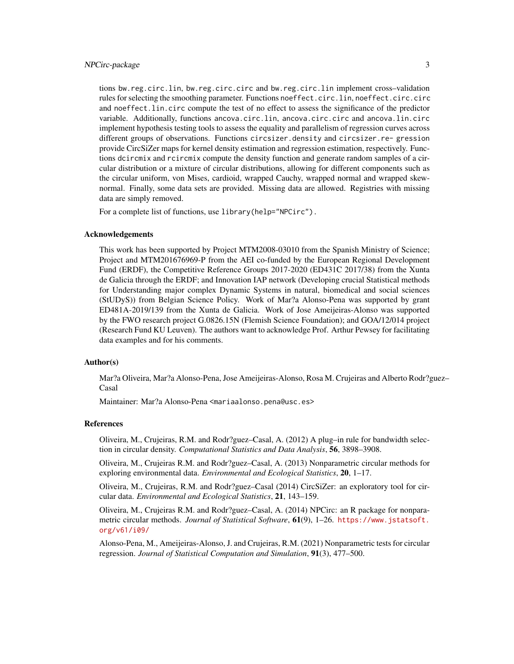#### NPCirc-package 3

tions bw.reg.circ.lin, bw.reg.circ.circ and bw.reg.circ.lin implement cross–validation rules for selecting the smoothing parameter. Functions noeffect.circ.lin, noeffect.circ.circ and noeffect.lin.circ compute the test of no effect to assess the significance of the predictor variable. Additionally, functions ancova.circ.lin, ancova.circ.circ and ancova.lin.circ implement hypothesis testing tools to assess the equality and parallelism of regression curves across different groups of observations. Functions circsizer.density and circsizer.re- gression provide CircSiZer maps for kernel density estimation and regression estimation, respectively. Functions dcircmix and rcircmix compute the density function and generate random samples of a circular distribution or a mixture of circular distributions, allowing for different components such as the circular uniform, von Mises, cardioid, wrapped Cauchy, wrapped normal and wrapped skewnormal. Finally, some data sets are provided. Missing data are allowed. Registries with missing data are simply removed.

For a complete list of functions, use library(help="NPCirc").

#### Acknowledgements

This work has been supported by Project MTM2008-03010 from the Spanish Ministry of Science; Project and MTM201676969-P from the AEI co-funded by the European Regional Development Fund (ERDF), the Competitive Reference Groups 2017-2020 (ED431C 2017/38) from the Xunta de Galicia through the ERDF; and Innovation IAP network (Developing crucial Statistical methods for Understanding major complex Dynamic Systems in natural, biomedical and social sciences (StUDyS)) from Belgian Science Policy. Work of Mar?a Alonso-Pena was supported by grant ED481A-2019/139 from the Xunta de Galicia. Work of Jose Ameijeiras-Alonso was supported by the FWO research project G.0826.15N (Flemish Science Foundation); and GOA/12/014 project (Research Fund KU Leuven). The authors want to acknowledge Prof. Arthur Pewsey for facilitating data examples and for his comments.

#### Author(s)

Mar?a Oliveira, Mar?a Alonso-Pena, Jose Ameijeiras-Alonso, Rosa M. Crujeiras and Alberto Rodr?guez– Casal

Maintainer: Mar?a Alonso-Pena <mariaalonso.pena@usc.es>

#### References

Oliveira, M., Crujeiras, R.M. and Rodr?guez–Casal, A. (2012) A plug–in rule for bandwidth selection in circular density. *Computational Statistics and Data Analysis*, 56, 3898–3908.

Oliveira, M., Crujeiras R.M. and Rodr?guez–Casal, A. (2013) Nonparametric circular methods for exploring environmental data. *Environmental and Ecological Statistics*, 20, 1–17.

Oliveira, M., Crujeiras, R.M. and Rodr?guez–Casal (2014) CircSiZer: an exploratory tool for circular data. *Environmental and Ecological Statistics*, 21, 143–159.

Oliveira, M., Crujeiras R.M. and Rodr?guez–Casal, A. (2014) NPCirc: an R package for nonparametric circular methods. *Journal of Statistical Software*, 61(9), 1–26. [https://www.jstatsoft.](https://www.jstatsoft.org/v61/i09/) [org/v61/i09/](https://www.jstatsoft.org/v61/i09/)

Alonso-Pena, M., Ameijeiras-Alonso, J. and Crujeiras, R.M. (2021) Nonparametric tests for circular regression. *Journal of Statistical Computation and Simulation*, 91(3), 477–500.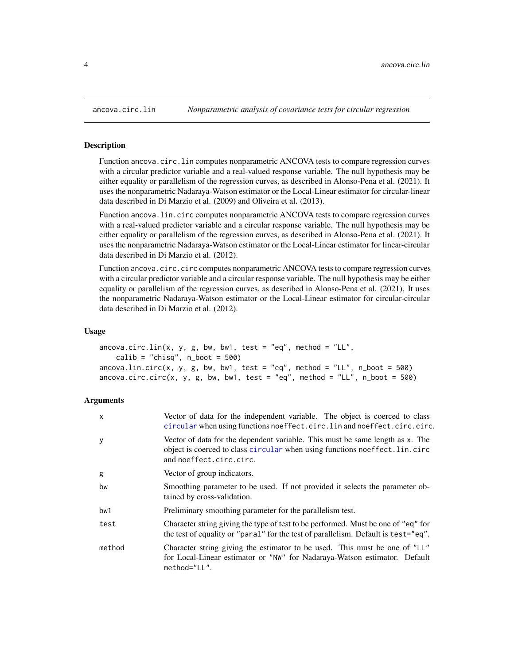<span id="page-3-0"></span>

## Description

Function ancova.circ.lin computes nonparametric ANCOVA tests to compare regression curves with a circular predictor variable and a real-valued response variable. The null hypothesis may be either equality or parallelism of the regression curves, as described in Alonso-Pena et al. (2021). It uses the nonparametric Nadaraya-Watson estimator or the Local-Linear estimator for circular-linear data described in Di Marzio et al. (2009) and Oliveira et al. (2013).

Function ancova.lin.circ computes nonparametric ANCOVA tests to compare regression curves with a real-valued predictor variable and a circular response variable. The null hypothesis may be either equality or parallelism of the regression curves, as described in Alonso-Pena et al. (2021). It uses the nonparametric Nadaraya-Watson estimator or the Local-Linear estimator for linear-circular data described in Di Marzio et al. (2012).

Function ancova.circ.circ computes nonparametric ANCOVA tests to compare regression curves with a circular predictor variable and a circular response variable. The null hypothesis may be either equality or parallelism of the regression curves, as described in Alonso-Pena et al. (2021). It uses the nonparametric Nadaraya-Watson estimator or the Local-Linear estimator for circular-circular data described in Di Marzio et al. (2012).

#### Usage

```
ancova.circ.lin(x, y, g, bw, bw1, test = "eq", method = "LL",
   calib = "chisq", n\_boot = 500)ancova.lin.circ(x, y, g, bw, bw1, test = "eq", method = "LL", n_boot = 500)
ancova.circ.circ(x, y, g, bw, bw1, test = "eq", method = "LL", n\_boot = 500)
```
## Arguments

| X      | Vector of data for the independent variable. The object is coerced to class<br>circular when using functions noeffect.circ.lin and noeffect.circ.circ.                                 |
|--------|----------------------------------------------------------------------------------------------------------------------------------------------------------------------------------------|
| У      | Vector of data for the dependent variable. This must be same length as x. The<br>object is coerced to class circular when using functions noeffect.lin.circ<br>and noeffect.circ.circ. |
| g      | Vector of group indicators.                                                                                                                                                            |
| bw     | Smoothing parameter to be used. If not provided it selects the parameter ob-<br>tained by cross-validation.                                                                            |
| bw1    | Preliminary smoothing parameter for the parallelism test.                                                                                                                              |
| test   | Character string giving the type of test to be performed. Must be one of "eq" for<br>the test of equality or "paral" for the test of parallelism. Default is test="eq".                |
| method | Character string giving the estimator to be used. This must be one of "LL"<br>for Local-Linear estimator or "NW" for Nadaraya-Watson estimator. Default<br>method="LL".                |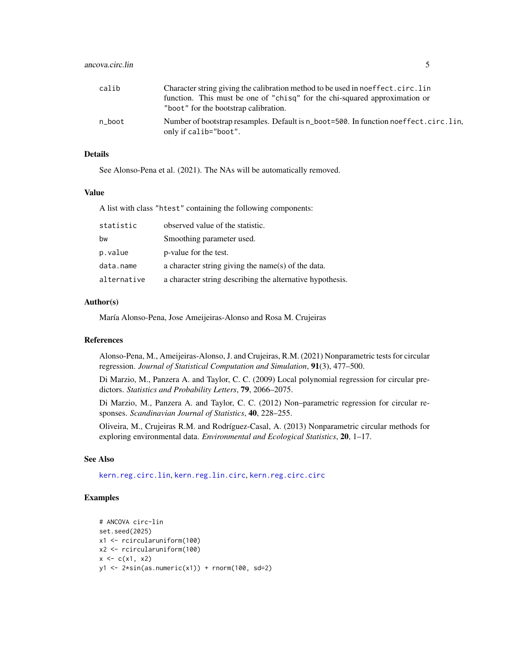<span id="page-4-0"></span>

| calib  | Character string giving the calibration method to be used in noeffect.circ.lin                                |
|--------|---------------------------------------------------------------------------------------------------------------|
|        | function. This must be one of "chisq" for the chi-squared approximation or                                    |
|        | "boot" for the bootstrap calibration.                                                                         |
| n boot | Number of bootstrap resamples. Default is n_boot=500. In function noeffect.circ.lin.<br>only if calib="boot". |

## Details

See Alonso-Pena et al. (2021). The NAs will be automatically removed.

## Value

A list with class "htest" containing the following components:

| statistic   | observed value of the statistic.                          |
|-------------|-----------------------------------------------------------|
| bw          | Smoothing parameter used.                                 |
| p.value     | p-value for the test.                                     |
| data.name   | a character string giving the name(s) of the data.        |
| alternative | a character string describing the alternative hypothesis. |

## Author(s)

María Alonso-Pena, Jose Ameijeiras-Alonso and Rosa M. Crujeiras

#### References

Alonso-Pena, M., Ameijeiras-Alonso, J. and Crujeiras, R.M. (2021) Nonparametric tests for circular regression. *Journal of Statistical Computation and Simulation*, 91(3), 477–500.

Di Marzio, M., Panzera A. and Taylor, C. C. (2009) Local polynomial regression for circular predictors. *Statistics and Probability Letters*, 79, 2066–2075.

Di Marzio, M., Panzera A. and Taylor, C. C. (2012) Non–parametric regression for circular responses. *Scandinavian Journal of Statistics*, 40, 228–255.

Oliveira, M., Crujeiras R.M. and Rodríguez-Casal, A. (2013) Nonparametric circular methods for exploring environmental data. *Environmental and Ecological Statistics*, 20, 1–17.

## See Also

[kern.reg.circ.lin](#page-26-1), [kern.reg.lin.circ](#page-26-2), [kern.reg.circ.circ](#page-26-2)

## Examples

```
# ANCOVA circ-lin
set.seed(2025)
x1 <- rcircularuniform(100)
x2 <- rcircularuniform(100)
x \leq -c(x1, x2)y1 \leftarrow 2*sin(as.numeric(x1)) + rnorm(100, sd=2)
```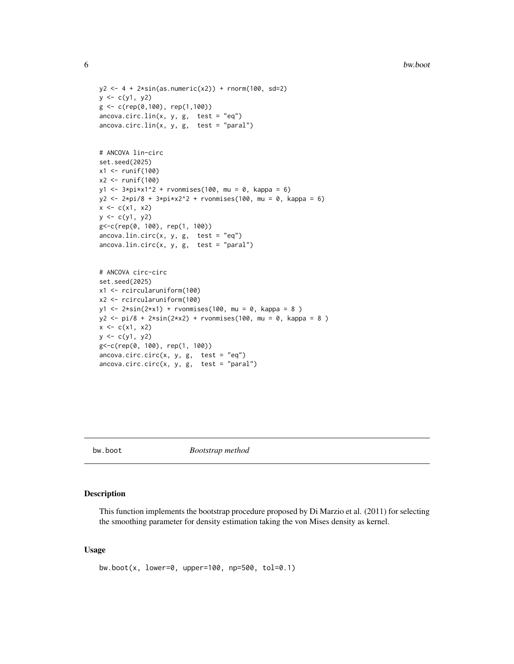```
y2 \le -4 + 2*sin(as.numeric(x2)) + rnorm(100, sd=2)y \leq c(y1, y2)g <- c(rep(0,100), rep(1,100))
\arccos{a.circ.lin(x, y, g, test = "eq")}arccov<sub>a</sub>.circ.lin(x, y, g, test = "paral")# ANCOVA lin-circ
set.seed(2025)
x1 <- runif(100)
x2 <- runif(100)
y1 \le -3 \cdot \pi x 1^2 + r \text{vonnises} (100, \text{mu} = 0, \text{kappa} = 6)y2 \le -2 \cdot \pi i / 8 + 3 \cdot \pi i \cdot x2^2 + \text{rvonmiss}(100, \text{mu} = 0, \text{kappa} = 6)x \leq -c(x1, x2)y \leftarrow c(y1, y2)g<-c(rep(0, 100), rep(1, 100))
ancova.lin.circ(x, y, g, test = "eq")
\arccos\lambda.lin.circ(x, y, g, test = "paral")
# ANCOVA circ-circ
set.seed(2025)
x1 <- rcircularuniform(100)
x2 <- rcircularuniform(100)
y1 <- 2*sin(2*x1) + rvonmises(100, mu = 0, kappa = 8 )
y2 \le -pi/8 + 2*sin(2*x2) + rvonmises(100, mu = 0, kappa = 8)x \leq -c(x1, x2)y \leq c(y1, y2)g<-c(rep(0, 100), rep(1, 100))
\arccos{a.circ.circ(x, y, g, test = "eq")}\arccos{a.circ.circ(x, y, g, test = "parallel")}
```
<span id="page-5-1"></span>

bw.boot *Bootstrap method*

## Description

This function implements the bootstrap procedure proposed by Di Marzio et al. (2011) for selecting the smoothing parameter for density estimation taking the von Mises density as kernel.

#### Usage

bw.boot(x, lower=0, upper=100, np=500, tol=0.1)

<span id="page-5-0"></span>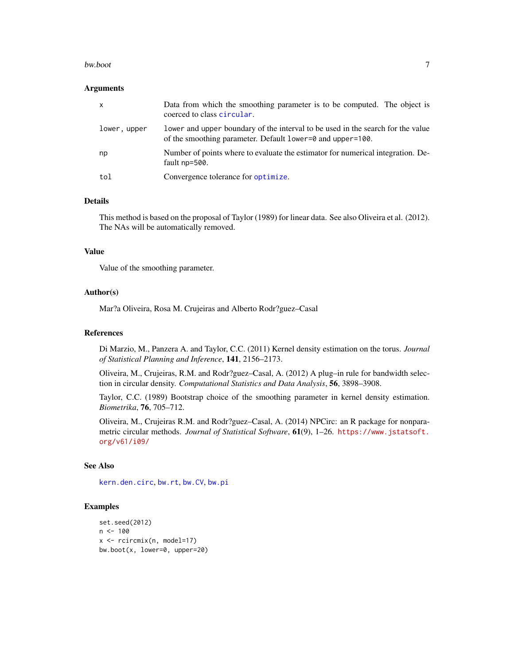#### <span id="page-6-0"></span>bw.boot 7

#### Arguments

| $\mathsf{x}$ | Data from which the smoothing parameter is to be computed. The object is<br>coerced to class circular.                                        |
|--------------|-----------------------------------------------------------------------------------------------------------------------------------------------|
| lower, upper | lower and upper boundary of the interval to be used in the search for the value<br>of the smoothing parameter. Default lower=0 and upper=100. |
| np           | Number of points where to evaluate the estimator for numerical integration. De-<br>fault np=500.                                              |
| tol          | Convergence tolerance for optimize.                                                                                                           |

#### Details

This method is based on the proposal of Taylor (1989) for linear data. See also Oliveira et al. (2012). The NAs will be automatically removed.

#### Value

Value of the smoothing parameter.

## Author(s)

Mar?a Oliveira, Rosa M. Crujeiras and Alberto Rodr?guez–Casal

## References

Di Marzio, M., Panzera A. and Taylor, C.C. (2011) Kernel density estimation on the torus. *Journal of Statistical Planning and Inference*, 141, 2156–2173.

Oliveira, M., Crujeiras, R.M. and Rodr?guez–Casal, A. (2012) A plug–in rule for bandwidth selection in circular density. *Computational Statistics and Data Analysis*, 56, 3898–3908.

Taylor, C.C. (1989) Bootstrap choice of the smoothing parameter in kernel density estimation. *Biometrika*, 76, 705–712.

Oliveira, M., Crujeiras R.M. and Rodr?guez–Casal, A. (2014) NPCirc: an R package for nonparametric circular methods. *Journal of Statistical Software*, 61(9), 1–26. [https://www.jstatsoft.](https://www.jstatsoft.org/v61/i09/) [org/v61/i09/](https://www.jstatsoft.org/v61/i09/)

## See Also

[kern.den.circ](#page-24-1), [bw.rt](#page-11-1), [bw.CV](#page-7-1), [bw.pi](#page-8-1)

#### Examples

```
set.seed(2012)
n < -100x <- rcircmix(n, model=17)
bw.boot(x, lower=0, upper=20)
```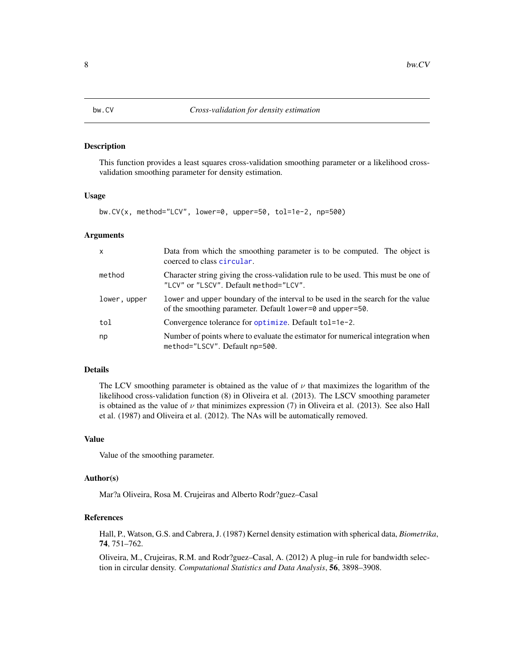<span id="page-7-1"></span><span id="page-7-0"></span>

#### Description

This function provides a least squares cross-validation smoothing parameter or a likelihood crossvalidation smoothing parameter for density estimation.

#### Usage

bw.CV(x, method="LCV", lower=0, upper=50, tol=1e-2, np=500)

## Arguments

| $\mathsf{x}$ | Data from which the smoothing parameter is to be computed. The object is<br>coerced to class circular.                                       |
|--------------|----------------------------------------------------------------------------------------------------------------------------------------------|
| method       | Character string giving the cross-validation rule to be used. This must be one of<br>"LCV" or "LSCV". Default method="LCV".                  |
| lower, upper | lower and upper boundary of the interval to be used in the search for the value<br>of the smoothing parameter. Default lower=0 and upper=50. |
| tol          | Convergence tolerance for optimize. Default tol=1e-2.                                                                                        |
| np           | Number of points where to evaluate the estimator for numerical integration when<br>method="LSCV". Default np=500.                            |

## Details

The LCV smoothing parameter is obtained as the value of  $\nu$  that maximizes the logarithm of the likelihood cross-validation function (8) in Oliveira et al. (2013). The LSCV smoothing parameter is obtained as the value of  $\nu$  that minimizes expression (7) in Oliveira et al. (2013). See also Hall et al. (1987) and Oliveira et al. (2012). The NAs will be automatically removed.

## Value

Value of the smoothing parameter.

#### Author(s)

Mar?a Oliveira, Rosa M. Crujeiras and Alberto Rodr?guez–Casal

## References

Hall, P., Watson, G.S. and Cabrera, J. (1987) Kernel density estimation with spherical data, *Biometrika*, 74, 751–762.

Oliveira, M., Crujeiras, R.M. and Rodr?guez–Casal, A. (2012) A plug–in rule for bandwidth selection in circular density. *Computational Statistics and Data Analysis*, 56, 3898–3908.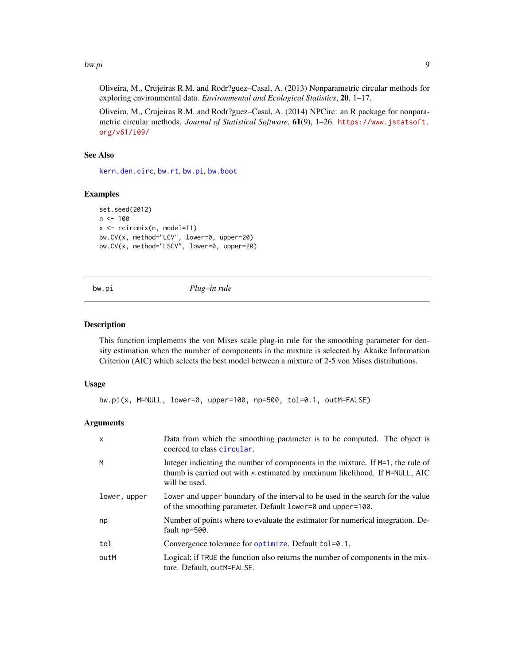#### <span id="page-8-0"></span>bw.pi 99

Oliveira, M., Crujeiras R.M. and Rodr?guez–Casal, A. (2013) Nonparametric circular methods for exploring environmental data. *Environmental and Ecological Statistics*, 20, 1–17.

Oliveira, M., Crujeiras R.M. and Rodr?guez–Casal, A. (2014) NPCirc: an R package for nonparametric circular methods. *Journal of Statistical Software*, 61(9), 1–26. [https://www.jstatsoft.](https://www.jstatsoft.org/v61/i09/) [org/v61/i09/](https://www.jstatsoft.org/v61/i09/)

## See Also

[kern.den.circ](#page-24-1), [bw.rt](#page-11-1), [bw.pi](#page-8-1), [bw.boot](#page-5-1)

## Examples

```
set.seed(2012)
n < -100x <- rcircmix(n, model=11)
bw.CV(x, method="LCV", lower=0, upper=20)
bw.CV(x, method="LSCV", lower=0, upper=20)
```
## bw.pi *Plug–in rule*

#### Description

This function implements the von Mises scale plug-in rule for the smoothing parameter for density estimation when the number of components in the mixture is selected by Akaike Information Criterion (AIC) which selects the best model between a mixture of 2-5 von Mises distributions.

#### Usage

```
bw.pi(x, M=NULL, lower=0, upper=100, np=500, tol=0.1, outM=FALSE)
```
#### Arguments

| $\mathsf{x}$ | Data from which the smoothing parameter is to be computed. The object is<br>coerced to class circular.                                                                                    |
|--------------|-------------------------------------------------------------------------------------------------------------------------------------------------------------------------------------------|
| M            | Integer indicating the number of components in the mixture. If $M=1$ , the rule of<br>thumb is carried out with $\kappa$ estimated by maximum likelihood. If M=NULL, AIC<br>will be used. |
| lower, upper | lower and upper boundary of the interval to be used in the search for the value<br>of the smoothing parameter. Default lower=0 and upper=100.                                             |
| np           | Number of points where to evaluate the estimator for numerical integration. De-<br>fault np=500.                                                                                          |
| tol          | Convergence tolerance for optimize. Default tol=0.1.                                                                                                                                      |
| outM         | Logical; if TRUE the function also returns the number of components in the mix-<br>ture. Default, outM=FALSE.                                                                             |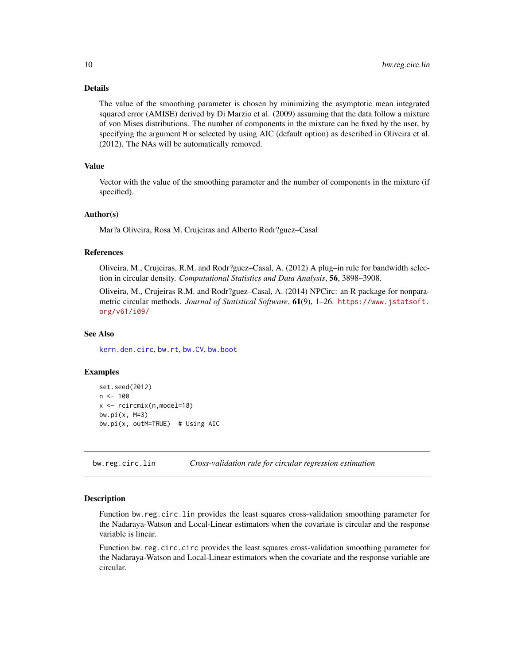## Details

The value of the smoothing parameter is chosen by minimizing the asymptotic mean integrated squared error (AMISE) derived by Di Marzio et al. (2009) assuming that the data follow a mixture of von Mises distributions. The number of components in the mixture can be fixed by the user, by specifying the argument M or selected by using AIC (default option) as described in Oliveira et al. (2012). The NAs will be automatically removed.

## Value

Vector with the value of the smoothing parameter and the number of components in the mixture (if specified).

#### Author(s)

Mar?a Oliveira, Rosa M. Crujeiras and Alberto Rodr?guez–Casal

#### References

Oliveira, M., Crujeiras, R.M. and Rodr?guez–Casal, A. (2012) A plug–in rule for bandwidth selection in circular density. *Computational Statistics and Data Analysis*, 56, 3898–3908.

Oliveira, M., Crujeiras R.M. and Rodr?guez–Casal, A. (2014) NPCirc: an R package for nonparametric circular methods. *Journal of Statistical Software*, 61(9), 1–26. [https://www.jstatsoft.](https://www.jstatsoft.org/v61/i09/) [org/v61/i09/](https://www.jstatsoft.org/v61/i09/)

#### See Also

[kern.den.circ](#page-24-1), [bw.rt](#page-11-1), [bw.CV](#page-7-1), [bw.boot](#page-5-1)

#### Examples

```
set.seed(2012)
n < - 100x <- rcircmix(n,model=18)
bw.pi(x, M=3)
bw.pi(x, outM=TRUE) # Using AIC
```
<span id="page-9-1"></span>bw.reg.circ.lin *Cross-validation rule for circular regression estimation*

#### <span id="page-9-2"></span>Description

Function bw.reg.circ.lin provides the least squares cross-validation smoothing parameter for the Nadaraya-Watson and Local-Linear estimators when the covariate is circular and the response variable is linear.

Function bw.reg.circ.circ provides the least squares cross-validation smoothing parameter for the Nadaraya-Watson and Local-Linear estimators when the covariate and the response variable are circular.

<span id="page-9-0"></span>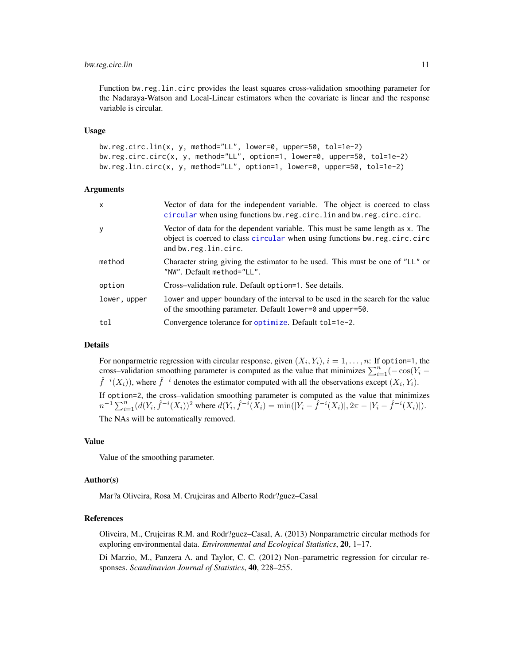## <span id="page-10-0"></span>bw.reg.circ.lin 11

Function bw.reg.lin.circ provides the least squares cross-validation smoothing parameter for the Nadaraya-Watson and Local-Linear estimators when the covariate is linear and the response variable is circular.

#### Usage

```
bw.reg.circ.lin(x, y, method="LL", lower=0, upper=50, tol=1e-2)
bw.reg.circ.circ(x, y, method="LL", option=1, lower=0, upper=50, tol=1e-2)
bw.reg.lin.circ(x, y, method="LL", option=1, lower=0, upper=50, tol=1e-2)
```
## Arguments

| $\mathsf{x}$ | Vector of data for the independent variable. The object is coerced to class<br>circular when using functions bw.reg.circ.lin and bw.reg.circ.circ.                                 |
|--------------|------------------------------------------------------------------------------------------------------------------------------------------------------------------------------------|
| У            | Vector of data for the dependent variable. This must be same length as x. The<br>object is coerced to class circular when using functions bw.reg.circ.circ<br>and bw.reg.lin.circ. |
| method       | Character string giving the estimator to be used. This must be one of "LL" or<br>"NW". Default method="LL".                                                                        |
| option       | Cross-validation rule. Default option=1. See details.                                                                                                                              |
| lower, upper | lower and upper boundary of the interval to be used in the search for the value<br>of the smoothing parameter. Default lower=0 and upper=50.                                       |
| tol          | Convergence tolerance for optimize. Default tol=1e-2.                                                                                                                              |

## Details

For nonparmetric regression with circular response, given  $(X_i, Y_i)$ ,  $i = 1, \ldots, n$ : If option=1, the cross–validation smoothing parameter is computed as the value that minimizes  $\sum_{i=1}^{n}(-\cos(Y_i \hat{f}^{-i}(X_i)$ ), where  $\hat{f}^{-i}$  denotes the estimator computed with all the observations except  $(X_i, Y_i)$ .

If option=2, the cross–validation smoothing parameter is computed as the value that minimizes  $n^{-1} \sum_{i=1}^{n} (d(Y_i, \hat{f}^{-i}(X_i))^2$  where  $d(Y_i, \hat{f}^{-i}(X_i)) = \min(|Y_i - \hat{f}^{-i}(X_i)|, 2\pi - |Y_i - \hat{f}^{-i}(X_i)|)$ .

The NAs will be automatically removed.

#### Value

Value of the smoothing parameter.

#### Author(s)

Mar?a Oliveira, Rosa M. Crujeiras and Alberto Rodr?guez–Casal

#### References

Oliveira, M., Crujeiras R.M. and Rodr?guez–Casal, A. (2013) Nonparametric circular methods for exploring environmental data. *Environmental and Ecological Statistics*, 20, 1–17.

Di Marzio, M., Panzera A. and Taylor, C. C. (2012) Non–parametric regression for circular responses. *Scandinavian Journal of Statistics*, 40, 228–255.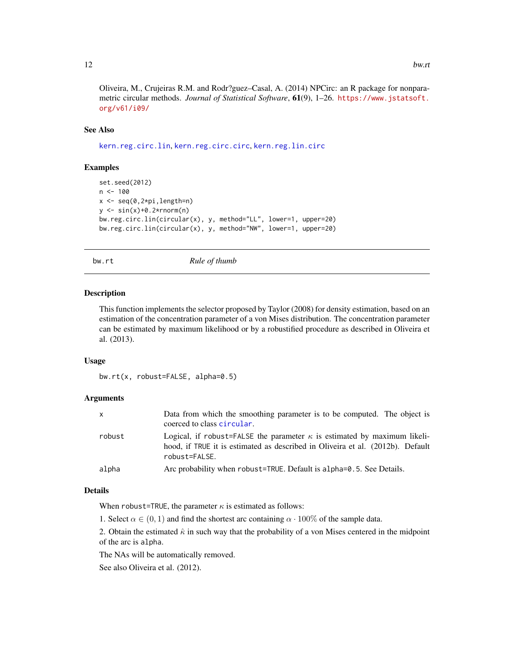<span id="page-11-0"></span>Oliveira, M., Crujeiras R.M. and Rodr?guez–Casal, A. (2014) NPCirc: an R package for nonparametric circular methods. *Journal of Statistical Software*, 61(9), 1–26. [https://www.jstatsoft.](https://www.jstatsoft.org/v61/i09/) [org/v61/i09/](https://www.jstatsoft.org/v61/i09/)

## See Also

[kern.reg.circ.lin](#page-26-1), [kern.reg.circ.circ](#page-26-2), [kern.reg.lin.circ](#page-26-2)

#### Examples

```
set.seed(2012)
n <- 100
x \leftarrow \text{seq}(0, 2 \star \text{pi}, \text{length=n})y \le -\sin(x)+0.2*rnorm(n)bw.reg.circ.lin(circular(x), y, method="LL", lower=1, upper=20)
bw.reg.circ.lin(circular(x), y, method="NW", lower=1, upper=20)
```
<span id="page-11-1"></span>

bw.rt *Rule of thumb*

#### Description

This function implements the selector proposed by Taylor (2008) for density estimation, based on an estimation of the concentration parameter of a von Mises distribution. The concentration parameter can be estimated by maximum likelihood or by a robustified procedure as described in Oliveira et al. (2013).

#### Usage

bw.rt(x, robust=FALSE, alpha=0.5)

## Arguments

| X.     | Data from which the smoothing parameter is to be computed. The object is<br>coerced to class circular.                                                                             |
|--------|------------------------------------------------------------------------------------------------------------------------------------------------------------------------------------|
| robust | Logical, if robust=FALSE the parameter $\kappa$ is estimated by maximum likeli-<br>hood, if TRUE it is estimated as described in Oliveira et al. (2012b). Default<br>robust=FALSE. |
| alpha  | Arc probability when robust=TRUE. Default is alpha=0.5. See Details.                                                                                                               |

## Details

When robust=TRUE, the parameter  $\kappa$  is estimated as follows:

1. Select  $\alpha \in (0,1)$  and find the shortest arc containing  $\alpha \cdot 100\%$  of the sample data.

2. Obtain the estimated  $\hat{\kappa}$  in such way that the probability of a von Mises centered in the midpoint of the arc is alpha.

The NAs will be automatically removed.

See also Oliveira et al. (2012).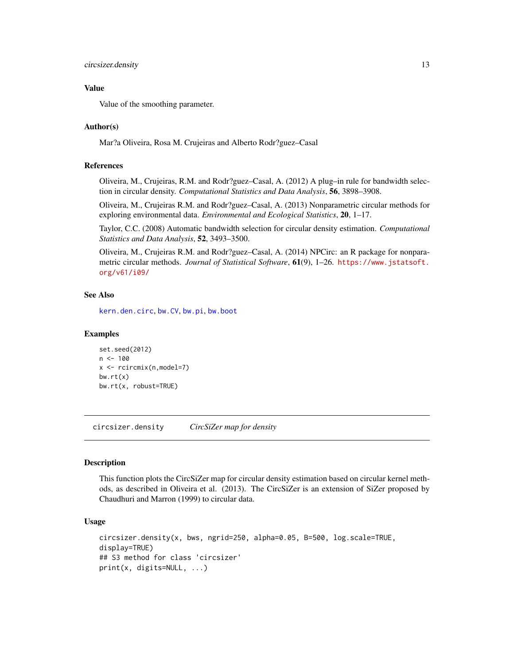## <span id="page-12-0"></span>circsizer.density 13

## Value

Value of the smoothing parameter.

## Author(s)

Mar?a Oliveira, Rosa M. Crujeiras and Alberto Rodr?guez–Casal

#### References

Oliveira, M., Crujeiras, R.M. and Rodr?guez–Casal, A. (2012) A plug–in rule for bandwidth selection in circular density. *Computational Statistics and Data Analysis*, 56, 3898–3908.

Oliveira, M., Crujeiras R.M. and Rodr?guez–Casal, A. (2013) Nonparametric circular methods for exploring environmental data. *Environmental and Ecological Statistics*, 20, 1–17.

Taylor, C.C. (2008) Automatic bandwidth selection for circular density estimation. *Computational Statistics and Data Analysis*, 52, 3493–3500.

Oliveira, M., Crujeiras R.M. and Rodr?guez–Casal, A. (2014) NPCirc: an R package for nonparametric circular methods. *Journal of Statistical Software*, 61(9), 1–26. [https://www.jstatsoft.](https://www.jstatsoft.org/v61/i09/) [org/v61/i09/](https://www.jstatsoft.org/v61/i09/)

## See Also

[kern.den.circ](#page-24-1), [bw.CV](#page-7-1), [bw.pi](#page-8-1), [bw.boot](#page-5-1)

#### Examples

```
set.seed(2012)
n < - 100x <- rcircmix(n,model=7)
bw.rt(x)bw.rt(x, robust=TRUE)
```
<span id="page-12-1"></span>circsizer.density *CircSiZer map for density*

## Description

This function plots the CircSiZer map for circular density estimation based on circular kernel methods, as described in Oliveira et al. (2013). The CircSiZer is an extension of SiZer proposed by Chaudhuri and Marron (1999) to circular data.

## Usage

```
circsizer.density(x, bws, ngrid=250, alpha=0.05, B=500, log.scale=TRUE,
display=TRUE)
## S3 method for class 'circsizer'
print(x, digits=NULL, ...)
```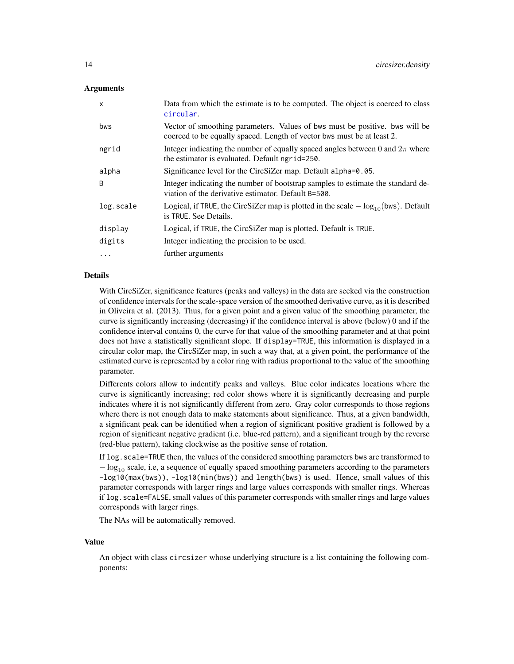## <span id="page-13-0"></span>Arguments

| X         | Data from which the estimate is to be computed. The object is coerced to class<br>circular.                                                           |
|-----------|-------------------------------------------------------------------------------------------------------------------------------------------------------|
| bws       | Vector of smoothing parameters. Values of bws must be positive, bws will be<br>coerced to be equally spaced. Length of vector bws must be at least 2. |
| ngrid     | Integer indicating the number of equally spaced angles between 0 and $2\pi$ where<br>the estimator is evaluated. Default ngrid=250.                   |
| alpha     | Significance level for the CircSiZer map. Default alpha=0.05.                                                                                         |
| B         | Integer indicating the number of bootstrap samples to estimate the standard de-<br>viation of the derivative estimator. Default B=500.                |
| log.scale | Logical, if TRUE, the CircSiZer map is plotted in the scale $-\log_{10}(\text{bws})$ . Default<br>is TRUE. See Details.                               |
| display   | Logical, if TRUE, the CircSiZer map is plotted. Default is TRUE.                                                                                      |
| digits    | Integer indicating the precision to be used.                                                                                                          |
| $\ddots$  | further arguments                                                                                                                                     |

## Details

With CircSiZer, significance features (peaks and valleys) in the data are seeked via the construction of confidence intervals for the scale-space version of the smoothed derivative curve, as it is described in Oliveira et al. (2013). Thus, for a given point and a given value of the smoothing parameter, the curve is significantly increasing (decreasing) if the confidence interval is above (below) 0 and if the confidence interval contains 0, the curve for that value of the smoothing parameter and at that point does not have a statistically significant slope. If display=TRUE, this information is displayed in a circular color map, the CircSiZer map, in such a way that, at a given point, the performance of the estimated curve is represented by a color ring with radius proportional to the value of the smoothing parameter.

Differents colors allow to indentify peaks and valleys. Blue color indicates locations where the curve is significantly increasing; red color shows where it is significantly decreasing and purple indicates where it is not significantly different from zero. Gray color corresponds to those regions where there is not enough data to make statements about significance. Thus, at a given bandwidth, a significant peak can be identified when a region of significant positive gradient is followed by a region of significant negative gradient (i.e. blue-red pattern), and a significant trough by the reverse (red-blue pattern), taking clockwise as the positive sense of rotation.

If log.scale=TRUE then, the values of the considered smoothing parameters bws are transformed to  $-\log_{10}$  scale, i.e, a sequence of equally spaced smoothing parameters according to the parameters -log10(max(bws)), -log10(min(bws)) and length(bws) is used. Hence, small values of this parameter corresponds with larger rings and large values corresponds with smaller rings. Whereas if log.scale=FALSE, small values of this parameter corresponds with smaller rings and large values corresponds with larger rings.

The NAs will be automatically removed.

#### Value

An object with class circsizer whose underlying structure is a list containing the following components: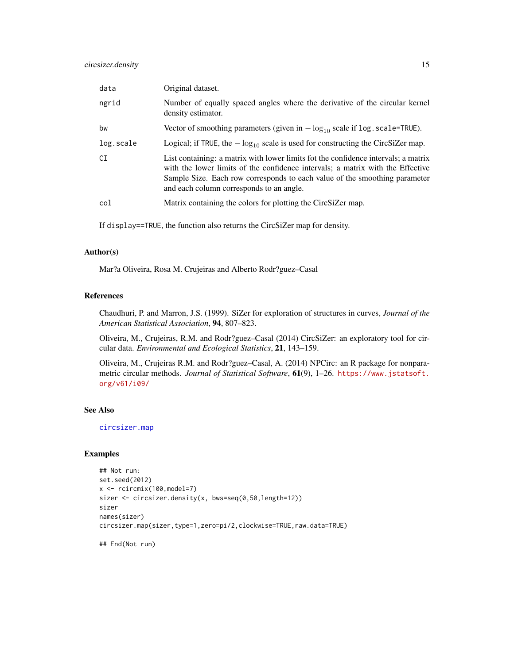<span id="page-14-0"></span>

| data      | Original dataset.                                                                                                                                                                                                                                                                              |
|-----------|------------------------------------------------------------------------------------------------------------------------------------------------------------------------------------------------------------------------------------------------------------------------------------------------|
| ngrid     | Number of equally spaced angles where the derivative of the circular kernel<br>density estimator.                                                                                                                                                                                              |
| bw        | Vector of smoothing parameters (given in $-\log_{10}$ scale if log. scale=TRUE).                                                                                                                                                                                                               |
| log.scale | Logical; if TRUE, the $-\log_{10}$ scale is used for constructing the CircSiZer map.                                                                                                                                                                                                           |
| CI        | List containing: a matrix with lower limits fot the confidence intervals; a matrix<br>with the lower limits of the confidence intervals; a matrix with the Effective<br>Sample Size. Each row corresponds to each value of the smoothing parameter<br>and each column corresponds to an angle. |
| col       | Matrix containing the colors for plotting the CircSiZer map.                                                                                                                                                                                                                                   |

If display==TRUE, the function also returns the CircSiZer map for density.

#### Author(s)

Mar?a Oliveira, Rosa M. Crujeiras and Alberto Rodr?guez–Casal

## References

Chaudhuri, P. and Marron, J.S. (1999). SiZer for exploration of structures in curves, *Journal of the American Statistical Association*, 94, 807–823.

Oliveira, M., Crujeiras, R.M. and Rodr?guez–Casal (2014) CircSiZer: an exploratory tool for circular data. *Environmental and Ecological Statistics*, 21, 143–159.

Oliveira, M., Crujeiras R.M. and Rodr?guez–Casal, A. (2014) NPCirc: an R package for nonparametric circular methods. *Journal of Statistical Software*, 61(9), 1–26. [https://www.jstatsoft.](https://www.jstatsoft.org/v61/i09/) [org/v61/i09/](https://www.jstatsoft.org/v61/i09/)

## See Also

[circsizer.map](#page-15-1)

#### Examples

```
## Not run:
set.seed(2012)
x \leftarrow rcircmix(100, model=7)
sizer <- circsizer.density(x, bws=seq(0,50,length=12))
sizer
names(sizer)
circsizer.map(sizer,type=1,zero=pi/2,clockwise=TRUE,raw.data=TRUE)
```
## End(Not run)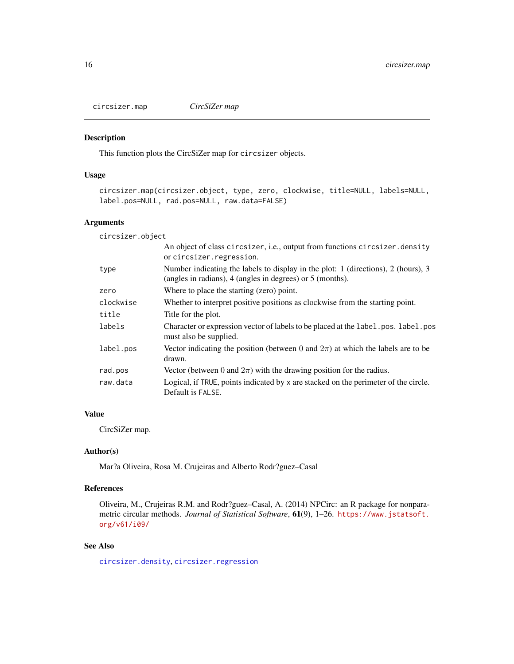<span id="page-15-1"></span><span id="page-15-0"></span>circsizer.map *CircSiZer map*

## Description

This function plots the CircSiZer map for circsizer objects.

## Usage

```
circsizer.map(circsizer.object, type, zero, clockwise, title=NULL, labels=NULL,
label.pos=NULL, rad.pos=NULL, raw.data=FALSE)
```
## Arguments

circsizer.object

|           | An object of class circsizer, i.e., output from functions circsizer. density<br>or circsizer.regression.                                       |
|-----------|------------------------------------------------------------------------------------------------------------------------------------------------|
| type      | Number indicating the labels to display in the plot: 1 (directions), 2 (hours), 3<br>(angles in radians), 4 (angles in degrees) or 5 (months). |
| zero      | Where to place the starting (zero) point.                                                                                                      |
| clockwise | Whether to interpret positive positions as clockwise from the starting point.                                                                  |
| title     | Title for the plot.                                                                                                                            |
| labels    | Character or expression vector of labels to be placed at the label. pos. label. pos<br>must also be supplied.                                  |
| label.pos | Vector indicating the position (between 0 and $2\pi$ ) at which the labels are to be<br>drawn.                                                 |
| rad.pos   | Vector (between 0 and $2\pi$ ) with the drawing position for the radius.                                                                       |
| raw.data  | Logical, if TRUE, points indicated by x are stacked on the perimeter of the circle.<br>Default is FALSE.                                       |

## Value

CircSiZer map.

## Author(s)

Mar?a Oliveira, Rosa M. Crujeiras and Alberto Rodr?guez–Casal

## References

Oliveira, M., Crujeiras R.M. and Rodr?guez–Casal, A. (2014) NPCirc: an R package for nonparametric circular methods. *Journal of Statistical Software*, 61(9), 1–26. [https://www.jstatsoft.](https://www.jstatsoft.org/v61/i09/) [org/v61/i09/](https://www.jstatsoft.org/v61/i09/)

## See Also

[circsizer.density](#page-12-1), [circsizer.regression](#page-16-1)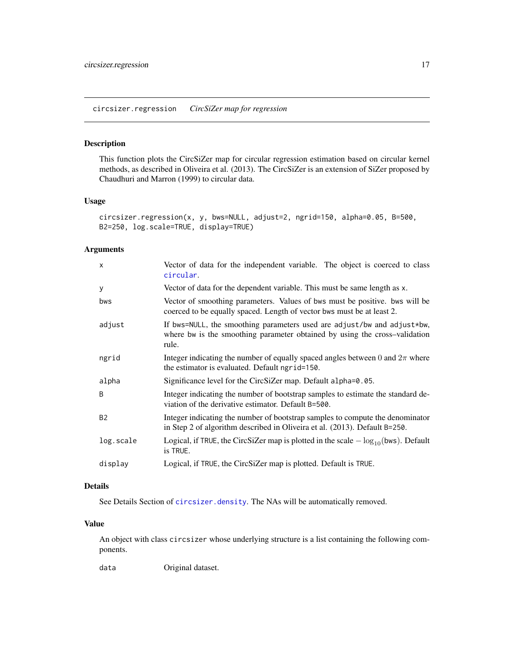## <span id="page-16-1"></span><span id="page-16-0"></span>Description

This function plots the CircSiZer map for circular regression estimation based on circular kernel methods, as described in Oliveira et al. (2013). The CircSiZer is an extension of SiZer proposed by Chaudhuri and Marron (1999) to circular data.

#### Usage

```
circsizer.regression(x, y, bws=NULL, adjust=2, ngrid=150, alpha=0.05, B=500,
B2=250, log.scale=TRUE, display=TRUE)
```
## Arguments

| Vector of data for the dependent variable. This must be same length as x.<br>Vector of smoothing parameters. Values of bws must be positive, bws will be<br>coerced to be equally spaced. Length of vector bws must be at least 2.<br>If bws=NULL, the smoothing parameters used are adjust/bw and adjust*bw,<br>where bw is the smoothing parameter obtained by using the cross-validation<br>rule.<br>Integer indicating the number of equally spaced angles between 0 and $2\pi$ where<br>the estimator is evaluated. Default ngrid=150.<br>Significance level for the CircSiZer map. Default alpha=0.05.<br>Integer indicating the number of bootstrap samples to estimate the standard de-<br>viation of the derivative estimator. Default B=500.<br>Integer indicating the number of bootstrap samples to compute the denominator<br>in Step 2 of algorithm described in Oliveira et al. (2013). Default B=250.<br>Logical, if TRUE, the CircSiZer map is plotted in the scale $-\log_{10}(\text{bws})$ . Default<br>is TRUE.<br>Logical, if TRUE, the CircSiZer map is plotted. Default is TRUE. | $\mathsf{x}$ | Vector of data for the independent variable. The object is coerced to class<br>circular. |
|---------------------------------------------------------------------------------------------------------------------------------------------------------------------------------------------------------------------------------------------------------------------------------------------------------------------------------------------------------------------------------------------------------------------------------------------------------------------------------------------------------------------------------------------------------------------------------------------------------------------------------------------------------------------------------------------------------------------------------------------------------------------------------------------------------------------------------------------------------------------------------------------------------------------------------------------------------------------------------------------------------------------------------------------------------------------------------------------------------|--------------|------------------------------------------------------------------------------------------|
|                                                                                                                                                                                                                                                                                                                                                                                                                                                                                                                                                                                                                                                                                                                                                                                                                                                                                                                                                                                                                                                                                                         | У            |                                                                                          |
|                                                                                                                                                                                                                                                                                                                                                                                                                                                                                                                                                                                                                                                                                                                                                                                                                                                                                                                                                                                                                                                                                                         | bws          |                                                                                          |
|                                                                                                                                                                                                                                                                                                                                                                                                                                                                                                                                                                                                                                                                                                                                                                                                                                                                                                                                                                                                                                                                                                         | adjust       |                                                                                          |
|                                                                                                                                                                                                                                                                                                                                                                                                                                                                                                                                                                                                                                                                                                                                                                                                                                                                                                                                                                                                                                                                                                         | ngrid        |                                                                                          |
|                                                                                                                                                                                                                                                                                                                                                                                                                                                                                                                                                                                                                                                                                                                                                                                                                                                                                                                                                                                                                                                                                                         | alpha        |                                                                                          |
|                                                                                                                                                                                                                                                                                                                                                                                                                                                                                                                                                                                                                                                                                                                                                                                                                                                                                                                                                                                                                                                                                                         | B            |                                                                                          |
|                                                                                                                                                                                                                                                                                                                                                                                                                                                                                                                                                                                                                                                                                                                                                                                                                                                                                                                                                                                                                                                                                                         | <b>B2</b>    |                                                                                          |
|                                                                                                                                                                                                                                                                                                                                                                                                                                                                                                                                                                                                                                                                                                                                                                                                                                                                                                                                                                                                                                                                                                         | log.scale    |                                                                                          |
|                                                                                                                                                                                                                                                                                                                                                                                                                                                                                                                                                                                                                                                                                                                                                                                                                                                                                                                                                                                                                                                                                                         | display      |                                                                                          |

## Details

See Details Section of [circsizer.density](#page-12-1). The NAs will be automatically removed.

## Value

An object with class circsizer whose underlying structure is a list containing the following components.

data Original dataset.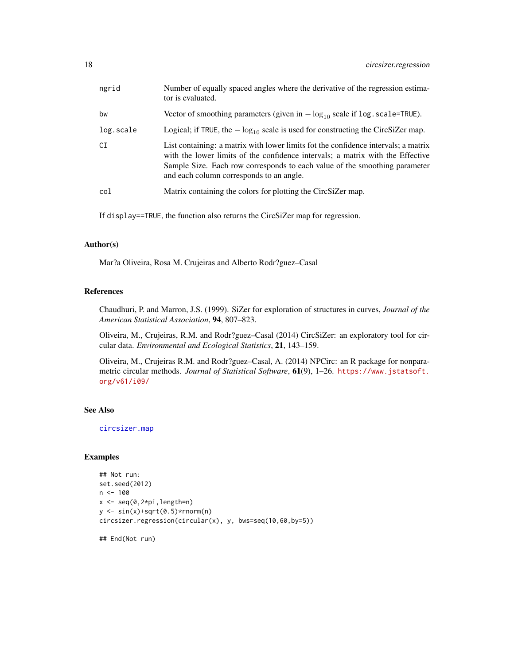<span id="page-17-0"></span>

| ngrid     | Number of equally spaced angles where the derivative of the regression estima-<br>tor is evaluated.                                                                                                                                                                                            |
|-----------|------------------------------------------------------------------------------------------------------------------------------------------------------------------------------------------------------------------------------------------------------------------------------------------------|
| bw        | Vector of smoothing parameters (given in $-\log_{10}$ scale if log. scale=TRUE).                                                                                                                                                                                                               |
| log.scale | Logical; if TRUE, the $-\log_{10}$ scale is used for constructing the CircSiZer map.                                                                                                                                                                                                           |
| СI        | List containing: a matrix with lower limits fot the confidence intervals; a matrix<br>with the lower limits of the confidence intervals; a matrix with the Effective<br>Sample Size. Each row corresponds to each value of the smoothing parameter<br>and each column corresponds to an angle. |
| col       | Matrix containing the colors for plotting the CircSiZer map.                                                                                                                                                                                                                                   |

If display==TRUE, the function also returns the CircSiZer map for regression.

## Author(s)

Mar?a Oliveira, Rosa M. Crujeiras and Alberto Rodr?guez–Casal

## References

Chaudhuri, P. and Marron, J.S. (1999). SiZer for exploration of structures in curves, *Journal of the American Statistical Association*, 94, 807–823.

Oliveira, M., Crujeiras, R.M. and Rodr?guez–Casal (2014) CircSiZer: an exploratory tool for circular data. *Environmental and Ecological Statistics*, 21, 143–159.

Oliveira, M., Crujeiras R.M. and Rodr?guez–Casal, A. (2014) NPCirc: an R package for nonparametric circular methods. *Journal of Statistical Software*, 61(9), 1–26. [https://www.jstatsoft.](https://www.jstatsoft.org/v61/i09/) [org/v61/i09/](https://www.jstatsoft.org/v61/i09/)

## See Also

[circsizer.map](#page-15-1)

## Examples

```
## Not run:
set.seed(2012)
n < -100x \leftarrow \text{seq}(0, 2 \star \text{pi}, \text{length=n})y \leftarrow \sin(x) + \sqrt{9} \cdot 5 \times \text{rnorm}(n)circsizer.regression(circular(x), y, bws=seq(10,60,by=5))
```
## End(Not run)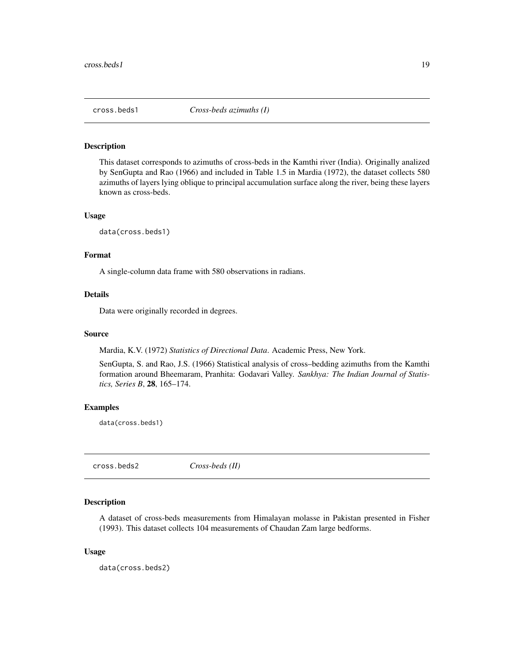<span id="page-18-0"></span>

#### Description

This dataset corresponds to azimuths of cross-beds in the Kamthi river (India). Originally analized by SenGupta and Rao (1966) and included in Table 1.5 in Mardia (1972), the dataset collects 580 azimuths of layers lying oblique to principal accumulation surface along the river, being these layers known as cross-beds.

#### Usage

data(cross.beds1)

## Format

A single-column data frame with 580 observations in radians.

## Details

Data were originally recorded in degrees.

#### Source

Mardia, K.V. (1972) *Statistics of Directional Data*. Academic Press, New York.

SenGupta, S. and Rao, J.S. (1966) Statistical analysis of cross–bedding azimuths from the Kamthi formation around Bheemaram, Pranhita: Godavari Valley. *Sankhya: The Indian Journal of Statistics, Series B*, 28, 165–174.

## Examples

data(cross.beds1)

cross.beds2 *Cross-beds (II)*

## Description

A dataset of cross-beds measurements from Himalayan molasse in Pakistan presented in Fisher (1993). This dataset collects 104 measurements of Chaudan Zam large bedforms.

## Usage

data(cross.beds2)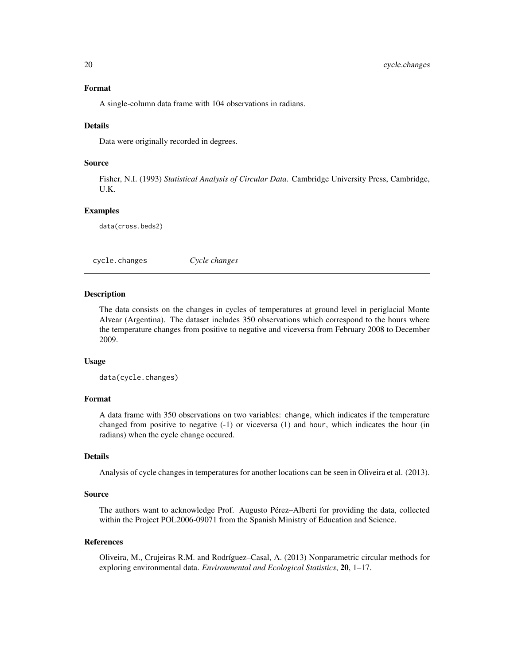#### <span id="page-19-0"></span>Format

A single-column data frame with 104 observations in radians.

### Details

Data were originally recorded in degrees.

#### Source

Fisher, N.I. (1993) *Statistical Analysis of Circular Data*. Cambridge University Press, Cambridge, U.K.

## Examples

data(cross.beds2)

cycle.changes *Cycle changes*

#### Description

The data consists on the changes in cycles of temperatures at ground level in periglacial Monte Alvear (Argentina). The dataset includes 350 observations which correspond to the hours where the temperature changes from positive to negative and viceversa from February 2008 to December 2009.

#### Usage

data(cycle.changes)

## Format

A data frame with 350 observations on two variables: change, which indicates if the temperature changed from positive to negative (-1) or viceversa (1) and hour, which indicates the hour (in radians) when the cycle change occured.

## Details

Analysis of cycle changes in temperatures for another locations can be seen in Oliveira et al. (2013).

#### Source

The authors want to acknowledge Prof. Augusto Pérez–Alberti for providing the data, collected within the Project POL2006-09071 from the Spanish Ministry of Education and Science.

#### References

Oliveira, M., Crujeiras R.M. and Rodríguez–Casal, A. (2013) Nonparametric circular methods for exploring environmental data. *Environmental and Ecological Statistics*, 20, 1–17.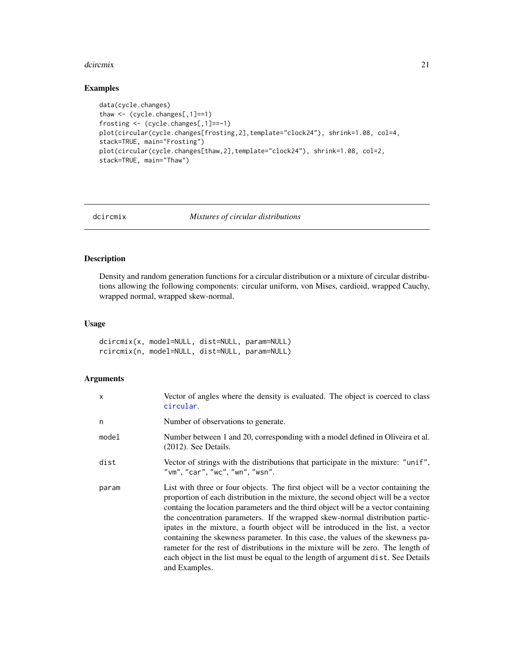#### <span id="page-20-0"></span>dcircmix 21

## Examples

```
data(cycle.changes)
thaw <- (cycle.changes[,1]==1)
frosting <- (cycle.changes[,1]==-1)
plot(circular(cycle.changes[frosting,2],template="clock24"), shrink=1.08, col=4,
stack=TRUE, main="Frosting")
plot(circular(cycle.changes[thaw,2],template="clock24"), shrink=1.08, col=2,
stack=TRUE, main="Thaw")
```
## dcircmix *Mixtures of circular distributions*

## Description

Density and random generation functions for a circular distribution or a mixture of circular distributions allowing the following components: circular uniform, von Mises, cardioid, wrapped Cauchy, wrapped normal, wrapped skew-normal.

## Usage

dcircmix(x, model=NULL, dist=NULL, param=NULL) rcircmix(n, model=NULL, dist=NULL, param=NULL)

## Arguments

| $\times$ | Vector of angles where the density is evaluated. The object is coerced to class<br>circular.                                                                                                                                                                                                                                                                                                                                                                                                                                                                                                                                                                                                                  |
|----------|---------------------------------------------------------------------------------------------------------------------------------------------------------------------------------------------------------------------------------------------------------------------------------------------------------------------------------------------------------------------------------------------------------------------------------------------------------------------------------------------------------------------------------------------------------------------------------------------------------------------------------------------------------------------------------------------------------------|
| n        | Number of observations to generate.                                                                                                                                                                                                                                                                                                                                                                                                                                                                                                                                                                                                                                                                           |
| model    | Number between 1 and 20, corresponding with a model defined in Oliveira et al.<br>$(2012)$ . See Details.                                                                                                                                                                                                                                                                                                                                                                                                                                                                                                                                                                                                     |
| dist     | Vector of strings with the distributions that participate in the mixture: "unif",<br>"vm", "car", "wc", "wn", "wsn".                                                                                                                                                                                                                                                                                                                                                                                                                                                                                                                                                                                          |
| param    | List with three or four objects. The first object will be a vector containing the<br>proportion of each distribution in the mixture, the second object will be a vector<br>containg the location parameters and the third object will be a vector containing<br>the concentration parameters. If the wrapped skew-normal distribution partic-<br>ipates in the mixture, a fourth object will be introduced in the list, a vector<br>containing the skewness parameter. In this case, the values of the skewness pa-<br>rameter for the rest of distributions in the mixture will be zero. The length of<br>each object in the list must be equal to the length of argument dist. See Details<br>and Examples. |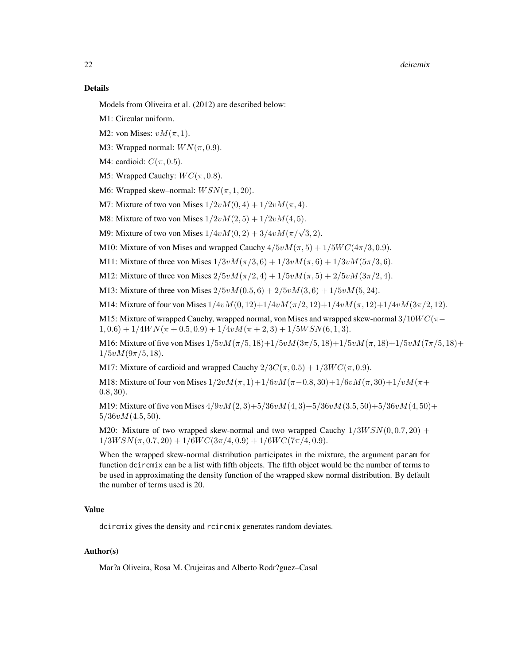#### Details

Models from Oliveira et al. (2012) are described below:

M1: Circular uniform.

- M2: von Mises:  $vM(\pi, 1)$ .
- M3: Wrapped normal:  $WN(\pi, 0.9)$ .
- M4: cardioid:  $C(\pi, 0.5)$ .
- M5: Wrapped Cauchy:  $WC(\pi, 0.8)$ .
- M6: Wrapped skew–normal:  $WSN(\pi, 1, 20)$ .
- M7: Mixture of two von Mises  $1/2vM(0, 4) + 1/2vM(\pi, 4)$ .
- M8: Mixture of two von Mises  $1/2vM(2, 5) + 1/2vM(4, 5)$ .
- M9: Mixture of two von Mises  $1/4vM(0, 2) + 3/4vM(\pi/\sqrt{3}, 2)$ .
- M10: Mixture of von Mises and wrapped Cauchy  $4/5vM(\pi, 5) + 1/5WC(4\pi/3, 0.9)$ .
- M11: Mixture of three von Mises  $1/3vM(\pi/3, 6) + 1/3vM(\pi, 6) + 1/3vM(5\pi/3, 6)$ .
- M12: Mixture of three von Mises  $2/5vM(\pi/2, 4) + 1/5vM(\pi, 5) + 2/5vM(3\pi/2, 4)$ .
- M13: Mixture of three von Mises  $2/5vM(0.5, 6) + 2/5vM(3, 6) + 1/5vM(5, 24)$ .

M14: Mixture of four von Mises  $1/4vM(0, 12)+1/4vM(\pi/2, 12)+1/4vM(\pi, 12)+1/4vM(3\pi/2, 12).$ 

M15: Mixture of wrapped Cauchy, wrapped normal, von Mises and wrapped skew-normal  $3/10WC(\pi 1, 0.6$ ) +  $1/4WN(\pi + 0.5, 0.9) + 1/4vM(\pi + 2, 3) + 1/5WSN(6, 1, 3).$ 

M16: Mixture of five von Mises  $1/5vM(\pi/5, 18) + 1/5vM(3\pi/5, 18) + 1/5vM(\pi, 18) + 1/5vM(7\pi/5, 18) +$  $1/5vM(9\pi/5, 18)$ .

M17: Mixture of cardioid and wrapped Cauchy  $2/3C(\pi, 0.5) + 1/3WC(\pi, 0.9)$ .

M18: Mixture of four von Mises  $1/2vM(\pi, 1)+1/6vM(\pi-0.8, 30)+1/6vM(\pi, 30)+1/vM(\pi+$ 0.8, 30).

M19: Mixture of five von Mises  $4/9vM(2,3)+5/36vM(4,3)+5/36vM(3.5,50)+5/36vM(4,50)+$  $5/36vM(4.5, 50)$ .

M20: Mixture of two wrapped skew-normal and two wrapped Cauchy  $1/3WSN(0, 0.7, 20)$  +  $1/3WSN(\pi, 0.7, 20) + 1/6WC(3\pi/4, 0.9) + 1/6WC(7\pi/4, 0.9).$ 

When the wrapped skew-normal distribution participates in the mixture, the argument param for function dcircmix can be a list with fifth objects. The fifth object would be the number of terms to be used in approximating the density function of the wrapped skew normal distribution. By default the number of terms used is 20.

## Value

dcircmix gives the density and rcircmix generates random deviates.

## Author(s)

Mar?a Oliveira, Rosa M. Crujeiras and Alberto Rodr?guez–Casal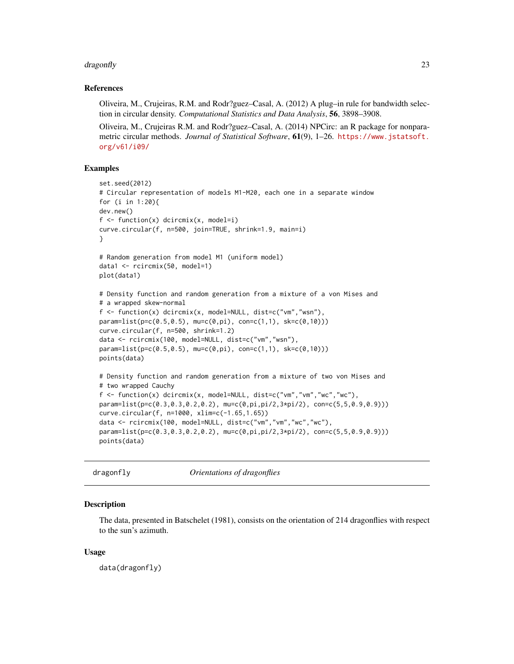#### <span id="page-22-0"></span>dragonfly the contract of the contract of the contract of the contract of the contract of the contract of the contract of the contract of the contract of the contract of the contract of the contract of the contract of the

## References

Oliveira, M., Crujeiras, R.M. and Rodr?guez–Casal, A. (2012) A plug–in rule for bandwidth selection in circular density. *Computational Statistics and Data Analysis*, 56, 3898–3908.

Oliveira, M., Crujeiras R.M. and Rodr?guez–Casal, A. (2014) NPCirc: an R package for nonparametric circular methods. *Journal of Statistical Software*, 61(9), 1–26. [https://www.jstatsoft.](https://www.jstatsoft.org/v61/i09/) [org/v61/i09/](https://www.jstatsoft.org/v61/i09/)

## Examples

```
set.seed(2012)
# Circular representation of models M1-M20, each one in a separate window
for (i in 1:20){
dev.new()
f \leftarrow function(x) dcircmix(x, model=i)
curve.circular(f, n=500, join=TRUE, shrink=1.9, main=i)
}
# Random generation from model M1 (uniform model)
data1 <- rcircmix(50, model=1)
plot(data1)
# Density function and random generation from a mixture of a von Mises and
# a wrapped skew-normal
f \leftarrow function(x) dcircmix(x, model=NULL, dist=c("vm","wsn"),
param=list(p=c(0.5, 0.5), muc(0, pi), con=c(1,1), sk=c(0,10)))curve.circular(f, n=500, shrink=1.2)
data <- rcircmix(100, model=NULL, dist=c("vm","wsn"),
param=list(p=c(0.5,0.5), mu=c(0,pi), con=c(1,1), sk=c(0,10)))
points(data)
# Density function and random generation from a mixture of two von Mises and
# two wrapped Cauchy
f <- function(x) dcircmix(x, model=NULL, dist=c("vm","vm","wc","wc"),
param=list(p=c(0.3,0.3,0.2,0.2), mu=c(0,pi,pi/2,3*pi/2), con=c(5,5,0.9,0.9)))
curve.circular(f, n=1000, xlim=c(-1.65,1.65))
data <- rcircmix(100, model=NULL, dist=c("vm","vm","wc","wc"),
param=list(p=c(0.3,0.3,0.2,0.2), mu=c(0,pi,pi/2,3*pi/2), con=c(5,5,0.9,0.9)))
points(data)
```
dragonfly *Orientations of dragonflies*

## **Description**

The data, presented in Batschelet (1981), consists on the orientation of 214 dragonflies with respect to the sun's azimuth.

## Usage

data(dragonfly)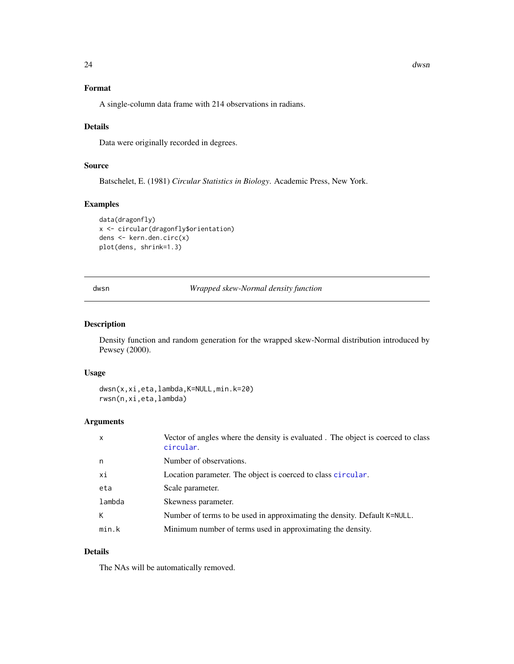## Format

A single-column data frame with 214 observations in radians.

## Details

Data were originally recorded in degrees.

## Source

Batschelet, E. (1981) *Circular Statistics in Biology*. Academic Press, New York.

## Examples

```
data(dragonfly)
x <- circular(dragonfly$orientation)
dens <- kern.den.circ(x)
plot(dens, shrink=1.3)
```
dwsn *Wrapped skew-Normal density function*

## Description

Density function and random generation for the wrapped skew-Normal distribution introduced by Pewsey (2000).

## Usage

```
dwsn(x,xi,eta,lambda,K=NULL,min.k=20)
rwsn(n,xi,eta,lambda)
```
## Arguments

| $\times$ | Vector of angles where the density is evaluated. The object is coerced to class<br>circular. |
|----------|----------------------------------------------------------------------------------------------|
| n        | Number of observations.                                                                      |
| хi       | Location parameter. The object is coerced to class circular.                                 |
| eta      | Scale parameter.                                                                             |
| lambda   | Skewness parameter.                                                                          |
| К        | Number of terms to be used in approximating the density. Default K=NULL.                     |
| min.k    | Minimum number of terms used in approximating the density.                                   |

## Details

The NAs will be automatically removed.

<span id="page-23-0"></span>24 dwsn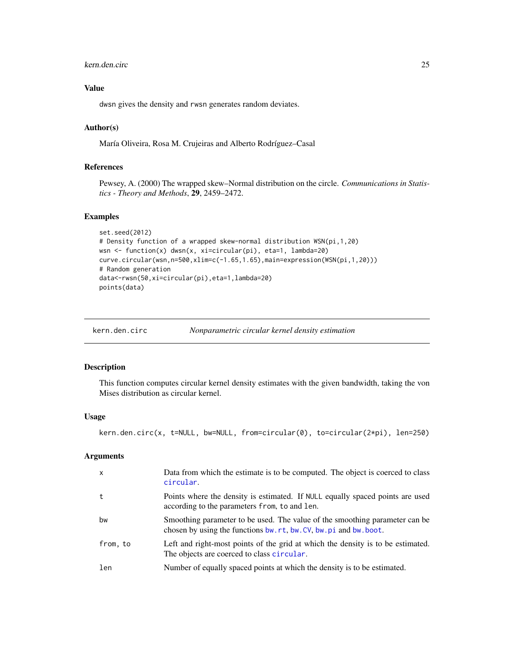#### <span id="page-24-0"></span>kern.den.circ 25

## Value

dwsn gives the density and rwsn generates random deviates.

## Author(s)

María Oliveira, Rosa M. Crujeiras and Alberto Rodríguez–Casal

## References

Pewsey, A. (2000) The wrapped skew–Normal distribution on the circle. *Communications in Statistics - Theory and Methods*, 29, 2459–2472.

## Examples

```
set.seed(2012)
# Density function of a wrapped skew-normal distribution WSN(pi,1,20)
wsn <- function(x) dwsn(x, xi=circular(pi), eta=1, lambda=20)
curve.circular(wsn,n=500,xlim=c(-1.65,1.65),main=expression(WSN(pi,1,20)))
# Random generation
data<-rwsn(50,xi=circular(pi),eta=1,lambda=20)
points(data)
```
<span id="page-24-1"></span>

| kern.den.circ | Nonparametric circular kernel density estimation |
|---------------|--------------------------------------------------|
|               |                                                  |

#### Description

This function computes circular kernel density estimates with the given bandwidth, taking the von Mises distribution as circular kernel.

## Usage

kern.den.circ(x, t=NULL, bw=NULL, from=circular(0), to=circular(2\*pi), len=250)

## Arguments

| $\mathsf{x}$ | Data from which the estimate is to be computed. The object is coerced to class<br>circular.                                                   |
|--------------|-----------------------------------------------------------------------------------------------------------------------------------------------|
| t            | Points where the density is estimated. If NULL equally spaced points are used<br>according to the parameters from, to and len.                |
| bw           | Smoothing parameter to be used. The value of the smoothing parameter can be<br>chosen by using the functions bw.rt, bw.CV, bw.pi and bw.boot. |
| from, to     | Left and right-most points of the grid at which the density is to be estimated.<br>The objects are coerced to class circular.                 |
| len          | Number of equally spaced points at which the density is to be estimated.                                                                      |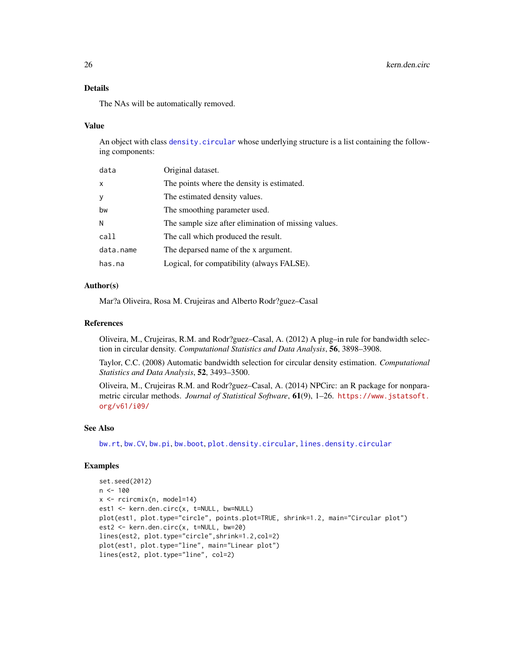## <span id="page-25-0"></span>Details

The NAs will be automatically removed.

#### Value

An object with class [density.circular](#page-0-0) whose underlying structure is a list containing the following components:

| data      | Original dataset.                                    |
|-----------|------------------------------------------------------|
| X         | The points where the density is estimated.           |
| У         | The estimated density values.                        |
| bw        | The smoothing parameter used.                        |
| N         | The sample size after elimination of missing values. |
| call      | The call which produced the result.                  |
| data.name | The deparsed name of the x argument.                 |
| has.na    | Logical, for compatibility (always FALSE).           |

## Author(s)

Mar?a Oliveira, Rosa M. Crujeiras and Alberto Rodr?guez–Casal

## References

Oliveira, M., Crujeiras, R.M. and Rodr?guez–Casal, A. (2012) A plug–in rule for bandwidth selection in circular density. *Computational Statistics and Data Analysis*, 56, 3898–3908.

Taylor, C.C. (2008) Automatic bandwidth selection for circular density estimation. *Computational Statistics and Data Analysis*, 52, 3493–3500.

Oliveira, M., Crujeiras R.M. and Rodr?guez–Casal, A. (2014) NPCirc: an R package for nonparametric circular methods. *Journal of Statistical Software*, 61(9), 1–26. [https://www.jstatsoft.](https://www.jstatsoft.org/v61/i09/) [org/v61/i09/](https://www.jstatsoft.org/v61/i09/)

## See Also

[bw.rt](#page-11-1), [bw.CV](#page-7-1), [bw.pi](#page-8-1), [bw.boot](#page-5-1), [plot.density.circular](#page-0-0), [lines.density.circular](#page-0-0)

## Examples

```
set.seed(2012)
n <- 100
x <- rcircmix(n, model=14)
est1 <- kern.den.circ(x, t=NULL, bw=NULL)
plot(est1, plot.type="circle", points.plot=TRUE, shrink=1.2, main="Circular plot")
est2 <- kern.den.circ(x, t=NULL, bw=20)
lines(est2, plot.type="circle",shrink=1.2,col=2)
plot(est1, plot.type="line", main="Linear plot")
lines(est2, plot.type="line", col=2)
```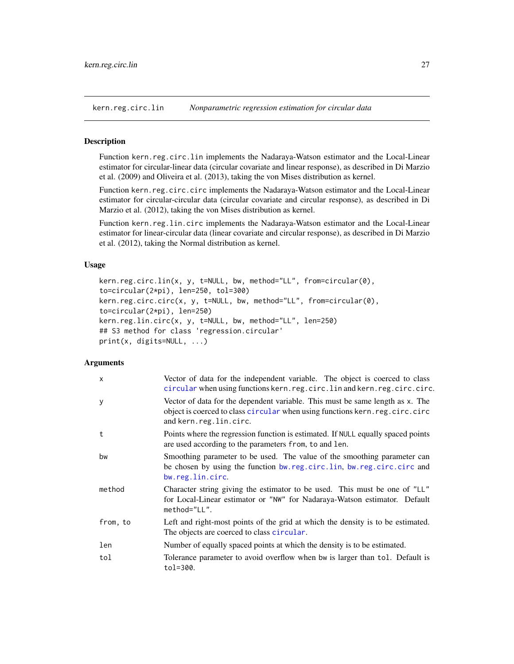<span id="page-26-1"></span><span id="page-26-0"></span>kern.reg.circ.lin *Nonparametric regression estimation for circular data*

#### <span id="page-26-2"></span>**Description**

Function kern.reg.circ.lin implements the Nadaraya-Watson estimator and the Local-Linear estimator for circular-linear data (circular covariate and linear response), as described in Di Marzio et al. (2009) and Oliveira et al. (2013), taking the von Mises distribution as kernel.

Function kern.reg.circ.circ implements the Nadaraya-Watson estimator and the Local-Linear estimator for circular-circular data (circular covariate and circular response), as described in Di Marzio et al. (2012), taking the von Mises distribution as kernel.

Function kern.reg.lin.circ implements the Nadaraya-Watson estimator and the Local-Linear estimator for linear-circular data (linear covariate and circular response), as described in Di Marzio et al. (2012), taking the Normal distribution as kernel.

## Usage

```
kern.reg.circ.lin(x, y, t=NULL, bw, method="LL", from=circular(0),
to=circular(2*pi), len=250, tol=300)
kern.reg.circ.circ(x, y, t=NULL, bw, method="LL", from=circular(0),
to=circular(2*pi), len=250)
kern.reg.lin.circ(x, y, t=NULL, bw, method="LL", len=250)
## S3 method for class 'regression.circular'
print(x, digits=NULL, ...)
```
## **Arguments**

| $\mathsf{x}$ | Vector of data for the independent variable. The object is coerced to class<br>circular when using functions kern.reg.circ.lin and kern.reg.circ.circ.                                 |
|--------------|----------------------------------------------------------------------------------------------------------------------------------------------------------------------------------------|
| У            | Vector of data for the dependent variable. This must be same length as x. The<br>object is coerced to class circular when using functions kern.reg.circ.circ<br>and kern.reg.lin.circ. |
| t            | Points where the regression function is estimated. If NULL equally spaced points<br>are used according to the parameters from, to and len.                                             |
| bw           | Smoothing parameter to be used. The value of the smoothing parameter can<br>be chosen by using the function bw.reg.circ.lin, bw.reg.circ.circ and<br>bw.reg.lin.circ.                  |
| method       | Character string giving the estimator to be used. This must be one of "LL"<br>for Local-Linear estimator or "NW" for Nadaraya-Watson estimator. Default<br>method="LL".                |
| from, to     | Left and right-most points of the grid at which the density is to be estimated.<br>The objects are coerced to class circular.                                                          |
| len          | Number of equally spaced points at which the density is to be estimated.                                                                                                               |
| tol          | Tolerance parameter to avoid overflow when bw is larger than tol. Default is<br>tol=300.                                                                                               |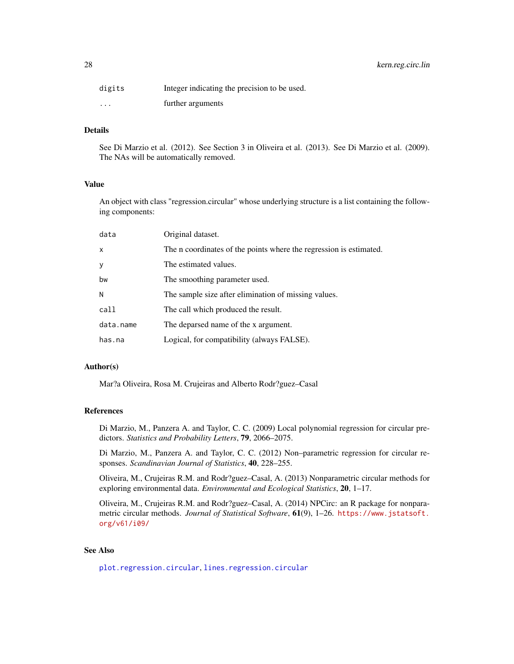## <span id="page-27-0"></span>28 kern.reg.circ.lin

| digits   | Integer indicating the precision to be used. |
|----------|----------------------------------------------|
| $\cdots$ | further arguments                            |

## Details

See Di Marzio et al. (2012). See Section 3 in Oliveira et al. (2013). See Di Marzio et al. (2009). The NAs will be automatically removed.

## Value

An object with class "regression.circular" whose underlying structure is a list containing the following components:

| data      | Original dataset.                                                  |
|-----------|--------------------------------------------------------------------|
| X         | The n coordinates of the points where the regression is estimated. |
| У         | The estimated values.                                              |
| bw        | The smoothing parameter used.                                      |
| N         | The sample size after elimination of missing values.               |
| call      | The call which produced the result.                                |
| data.name | The deparsed name of the x argument.                               |
| has.na    | Logical, for compatibility (always FALSE).                         |
|           |                                                                    |

## Author(s)

Mar?a Oliveira, Rosa M. Crujeiras and Alberto Rodr?guez–Casal

## References

Di Marzio, M., Panzera A. and Taylor, C. C. (2009) Local polynomial regression for circular predictors. *Statistics and Probability Letters*, 79, 2066–2075.

Di Marzio, M., Panzera A. and Taylor, C. C. (2012) Non–parametric regression for circular responses. *Scandinavian Journal of Statistics*, 40, 228–255.

Oliveira, M., Crujeiras R.M. and Rodr?guez–Casal, A. (2013) Nonparametric circular methods for exploring environmental data. *Environmental and Ecological Statistics*, 20, 1–17.

Oliveira, M., Crujeiras R.M. and Rodr?guez–Casal, A. (2014) NPCirc: an R package for nonparametric circular methods. *Journal of Statistical Software*, 61(9), 1–26. [https://www.jstatsoft.](https://www.jstatsoft.org/v61/i09/) [org/v61/i09/](https://www.jstatsoft.org/v61/i09/)

### See Also

[plot.regression.circular](#page-33-1), [lines.regression.circular](#page-28-1)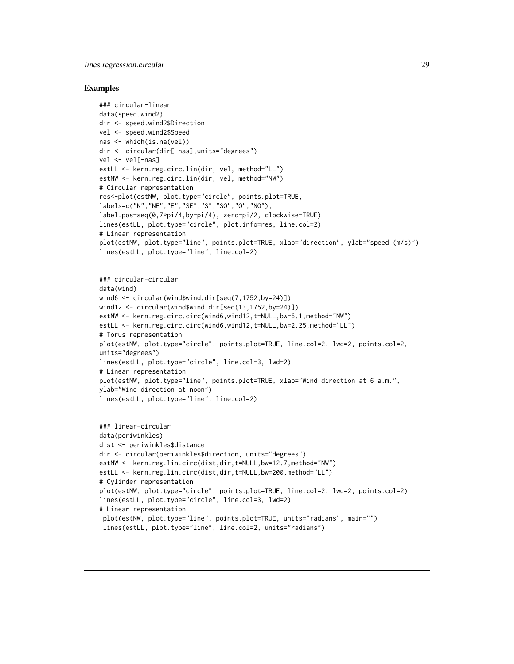## <span id="page-28-0"></span>lines.regression.circular 29

#### Examples

```
### circular-linear
data(speed.wind2)
dir <- speed.wind2$Direction
vel <- speed.wind2$Speed
nas <- which(is.na(vel))
dir <- circular(dir[-nas],units="degrees")
vel <- vel[-nas]
estLL <- kern.reg.circ.lin(dir, vel, method="LL")
estNW <- kern.reg.circ.lin(dir, vel, method="NW")
# Circular representation
res<-plot(estNW, plot.type="circle", points.plot=TRUE,
labels=c("N","NE","E","SE","S","SO","O","NO"),
label.pos=seq(0,7*pi/4,by=pi/4), zero=pi/2, clockwise=TRUE)
lines(estLL, plot.type="circle", plot.info=res, line.col=2)
# Linear representation
plot(estNW, plot.type="line", points.plot=TRUE, xlab="direction", ylab="speed (m/s)")
lines(estLL, plot.type="line", line.col=2)
```

```
### circular-circular
data(wind)
wind6 <- circular(wind$wind.dir[seq(7,1752,by=24)])
wind12 <- circular(wind$wind.dir[seq(13,1752,by=24)])
estNW <- kern.reg.circ.circ(wind6,wind12,t=NULL,bw=6.1,method="NW")
estLL <- kern.reg.circ.circ(wind6,wind12,t=NULL,bw=2.25,method="LL")
# Torus representation
plot(estNW, plot.type="circle", points.plot=TRUE, line.col=2, lwd=2, points.col=2,
units="degrees")
lines(estLL, plot.type="circle", line.col=3, lwd=2)
# Linear representation
plot(estNW, plot.type="line", points.plot=TRUE, xlab="Wind direction at 6 a.m.",
ylab="Wind direction at noon")
lines(estLL, plot.type="line", line.col=2)
```

```
### linear-circular
data(periwinkles)
dist <- periwinkles$distance
dir <- circular(periwinkles$direction, units="degrees")
estNW <- kern.reg.lin.circ(dist,dir,t=NULL,bw=12.7,method="NW")
estLL <- kern.reg.lin.circ(dist,dir,t=NULL,bw=200,method="LL")
# Cylinder representation
plot(estNW, plot.type="circle", points.plot=TRUE, line.col=2, lwd=2, points.col=2)
lines(estLL, plot.type="circle", line.col=3, lwd=2)
# Linear representation
 plot(estNW, plot.type="line", points.plot=TRUE, units="radians", main="")
 lines(estLL, plot.type="line", line.col=2, units="radians")
```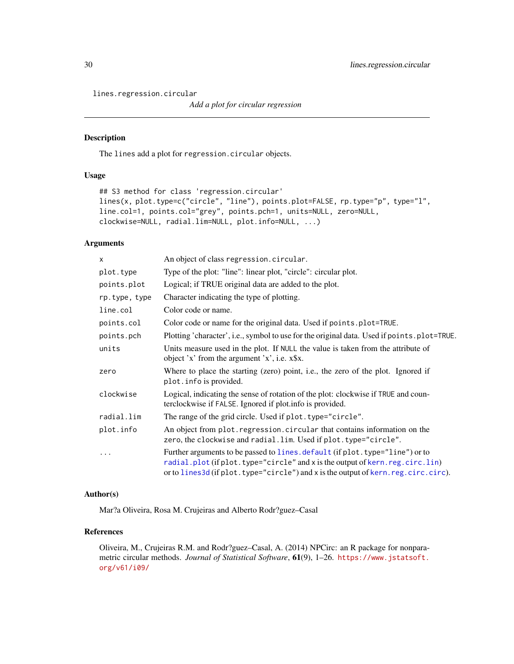<span id="page-29-0"></span>lines.regression.circular

*Add a plot for circular regression*

## Description

The lines add a plot for regression.circular objects.

## Usage

```
## S3 method for class 'regression.circular'
lines(x, plot.type=c("circle", "line"), points.plot=FALSE, rp.type="p", type="l",
line.col=1, points.col="grey", points.pch=1, units=NULL, zero=NULL,
clockwise=NULL, radial.lim=NULL, plot.info=NULL, ...)
```
## Arguments

| X             | An object of class regression.circular.                                                                                                                                                                                                             |
|---------------|-----------------------------------------------------------------------------------------------------------------------------------------------------------------------------------------------------------------------------------------------------|
| plot.type     | Type of the plot: "line": linear plot, "circle": circular plot.                                                                                                                                                                                     |
| points.plot   | Logical; if TRUE original data are added to the plot.                                                                                                                                                                                               |
| rp.type, type | Character indicating the type of plotting.                                                                                                                                                                                                          |
| line.col      | Color code or name.                                                                                                                                                                                                                                 |
| points.col    | Color code or name for the original data. Used if points.plot=TRUE.                                                                                                                                                                                 |
| points.pch    | Plotting 'character', i.e., symbol to use for the original data. Used if points . plot=TRUE.                                                                                                                                                        |
| units         | Units measure used in the plot. If NULL the value is taken from the attribute of<br>object 'x' from the argument 'x', i.e. x\$x.                                                                                                                    |
| zero          | Where to place the starting (zero) point, i.e., the zero of the plot. Ignored if<br>plot. info is provided.                                                                                                                                         |
| clockwise     | Logical, indicating the sense of rotation of the plot: clockwise if TRUE and coun-<br>terclockwise if FALSE. Ignored if plot. info is provided.                                                                                                     |
| radial.lim    | The range of the grid circle. Used if plot. type="circle".                                                                                                                                                                                          |
| plot.info     | An object from plot. regression. circular that contains information on the<br>zero, the clockwise and radial.lim. Used if plot.type="circle".                                                                                                       |
| $\ddotsc$     | Further arguments to be passed to lines. default (if plot. type="line") or to<br>radial.plot (if plot.type="circle" and x is the output of kern.reg.circ.lin)<br>or to lines 3d (if plot.type="circle") and x is the output of kern.reg.circ.circ). |

## Author(s)

Mar?a Oliveira, Rosa M. Crujeiras and Alberto Rodr?guez–Casal

## References

Oliveira, M., Crujeiras R.M. and Rodr?guez–Casal, A. (2014) NPCirc: an R package for nonparametric circular methods. *Journal of Statistical Software*, 61(9), 1–26. [https://www.jstatsoft.](https://www.jstatsoft.org/v61/i09/) [org/v61/i09/](https://www.jstatsoft.org/v61/i09/)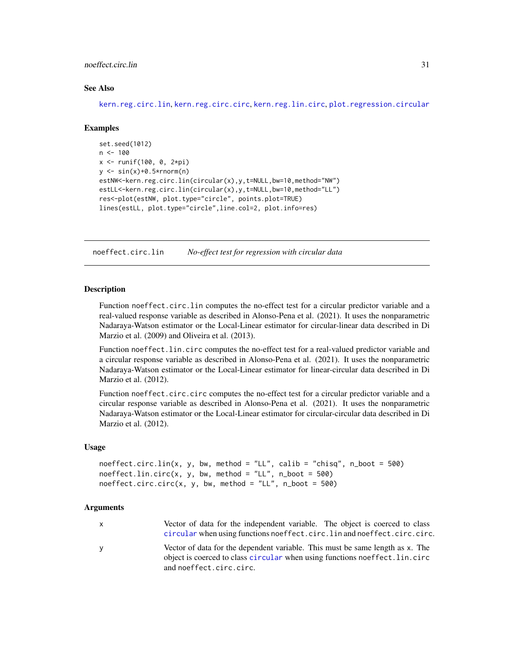## <span id="page-30-0"></span>noeffect.circ.lin 31

## See Also

[kern.reg.circ.lin](#page-26-1), [kern.reg.circ.circ](#page-26-2), [kern.reg.lin.circ](#page-26-2), [plot.regression.circular](#page-33-1)

#### Examples

```
set.seed(1012)
n < -100x <- runif(100, 0, 2*pi)
y \le -\sin(x)+0.5*rnorm(n)estNW<-kern.reg.circ.lin(circular(x),y,t=NULL,bw=10,method="NW")
estLL<-kern.reg.circ.lin(circular(x),y,t=NULL,bw=10,method="LL")
res<-plot(estNW, plot.type="circle", points.plot=TRUE)
lines(estLL, plot.type="circle",line.col=2, plot.info=res)
```
noeffect.circ.lin *No-effect test for regression with circular data*

#### Description

Function noeffect.circ.lin computes the no-effect test for a circular predictor variable and a real-valued response variable as described in Alonso-Pena et al. (2021). It uses the nonparametric Nadaraya-Watson estimator or the Local-Linear estimator for circular-linear data described in Di Marzio et al. (2009) and Oliveira et al. (2013).

Function noeffect.lin.circ computes the no-effect test for a real-valued predictor variable and a circular response variable as described in Alonso-Pena et al. (2021). It uses the nonparametric Nadaraya-Watson estimator or the Local-Linear estimator for linear-circular data described in Di Marzio et al. (2012).

Function noeffect.circ.circ computes the no-effect test for a circular predictor variable and a circular response variable as described in Alonso-Pena et al. (2021). It uses the nonparametric Nadaraya-Watson estimator or the Local-Linear estimator for circular-circular data described in Di Marzio et al. (2012).

## Usage

```
noeffect.circ.lin(x, y, bw, method = "LL", calib = "chisq", n_boot = 500)
noeffect.lin.circ(x, y, bw, method = "LL", n_boot = 500)
noeffect.circ.circ(x, y, bw, method = "LL", n\_boot = 500)
```
#### Arguments

| X | Vector of data for the independent variable. The object is coerced to class                                                                                   |
|---|---------------------------------------------------------------------------------------------------------------------------------------------------------------|
|   | circular when using functions noeffect.circ.lin and noeffect.circ.circ.                                                                                       |
| У | Vector of data for the dependent variable. This must be same length as x. The<br>object is coerced to class circular when using functions noeffect. lin. circ |
|   | and noeffect.circ.circ.                                                                                                                                       |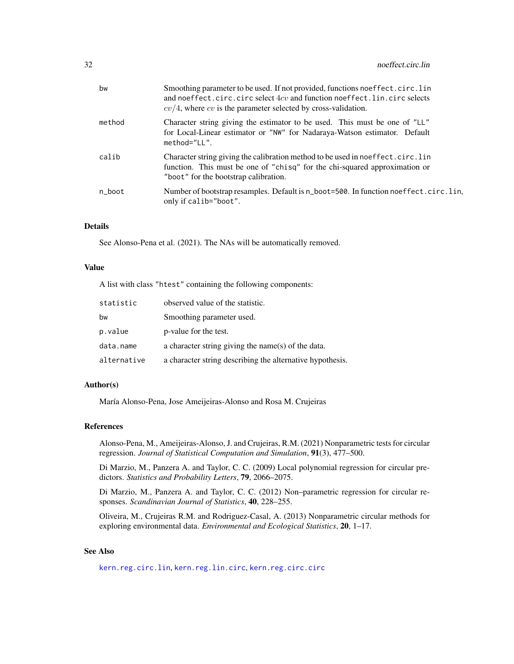<span id="page-31-0"></span>

| bw     | Smoothing parameter to be used. If not provided, functions noeffect.circ.lin<br>and noeffect.circ.circ select 4cv and function noeffect.lin.circ selects<br>$cv/4$ , where cv is the parameter selected by cross-validation. |
|--------|------------------------------------------------------------------------------------------------------------------------------------------------------------------------------------------------------------------------------|
| method | Character string giving the estimator to be used. This must be one of "LL"<br>for Local-Linear estimator or "NW" for Nadaraya-Watson estimator. Default<br>method="LL".                                                      |
| calib  | Character string giving the calibration method to be used in noeffect.circ.lin<br>function. This must be one of "chisq" for the chi-squared approximation or<br>"boot" for the bootstrap calibration.                        |
| n_boot | Number of bootstrap resamples. Default is n_boot=500. In function noeffect.circ.lin,<br>only if calib="boot".                                                                                                                |

## Details

See Alonso-Pena et al. (2021). The NAs will be automatically removed.

## Value

A list with class "htest" containing the following components:

| statistic   | observed value of the statistic.                          |
|-------------|-----------------------------------------------------------|
| bw          | Smoothing parameter used.                                 |
| p.value     | p-value for the test.                                     |
| data.name   | a character string giving the name(s) of the data.        |
| alternative | a character string describing the alternative hypothesis. |

## Author(s)

María Alonso-Pena, Jose Ameijeiras-Alonso and Rosa M. Crujeiras

## References

Alonso-Pena, M., Ameijeiras-Alonso, J. and Crujeiras, R.M. (2021) Nonparametric tests for circular regression. *Journal of Statistical Computation and Simulation*, 91(3), 477–500.

Di Marzio, M., Panzera A. and Taylor, C. C. (2009) Local polynomial regression for circular predictors. *Statistics and Probability Letters*, 79, 2066–2075.

Di Marzio, M., Panzera A. and Taylor, C. C. (2012) Non–parametric regression for circular responses. *Scandinavian Journal of Statistics*, 40, 228–255.

Oliveira, M., Crujeiras R.M. and Rodriguez-Casal, A. (2013) Nonparametric circular methods for exploring environmental data. *Environmental and Ecological Statistics*, 20, 1–17.

## See Also

[kern.reg.circ.lin](#page-26-1), [kern.reg.lin.circ](#page-26-2), [kern.reg.circ.circ](#page-26-2)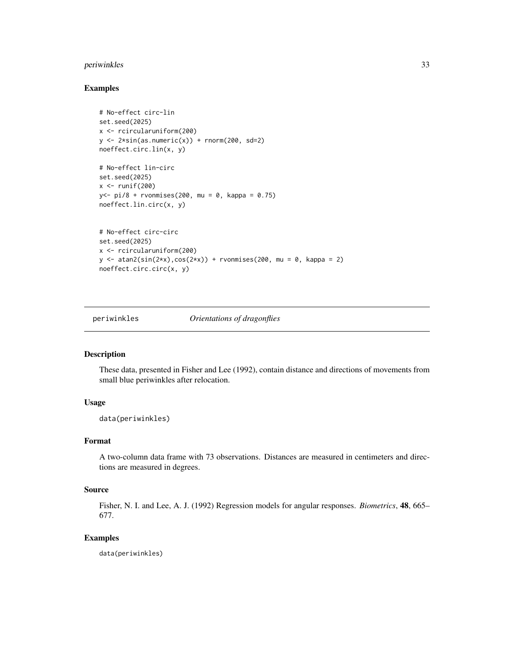## <span id="page-32-0"></span>periwinkles 33

## Examples

```
# No-effect circ-lin
set.seed(2025)
x <- rcircularuniform(200)
y \leftarrow 2*sin(as.numeric(x)) + rnorm(200, sd=2)noeffect.circ.lin(x, y)
# No-effect lin-circ
set.seed(2025)
x \leftarrow runif(200)y <- pi/8 + rvonmises(200, mu = 0, kappa = 0.75)
noeffect.lin.circ(x, y)
# No-effect circ-circ
set.seed(2025)
x <- rcircularuniform(200)
y \le - \text{atan2}(\sin(2*x), \cos(2*x)) + \text{rvonmiss}(200, \text{mu} = 0, \text{kappa} = 2)noeffect.circ.circ(x, y)
```
periwinkles *Orientations of dragonflies*

## Description

These data, presented in Fisher and Lee (1992), contain distance and directions of movements from small blue periwinkles after relocation.

## Usage

data(periwinkles)

## Format

A two-column data frame with 73 observations. Distances are measured in centimeters and directions are measured in degrees.

## Source

Fisher, N. I. and Lee, A. J. (1992) Regression models for angular responses. *Biometrics*, 48, 665– 677.

## Examples

data(periwinkles)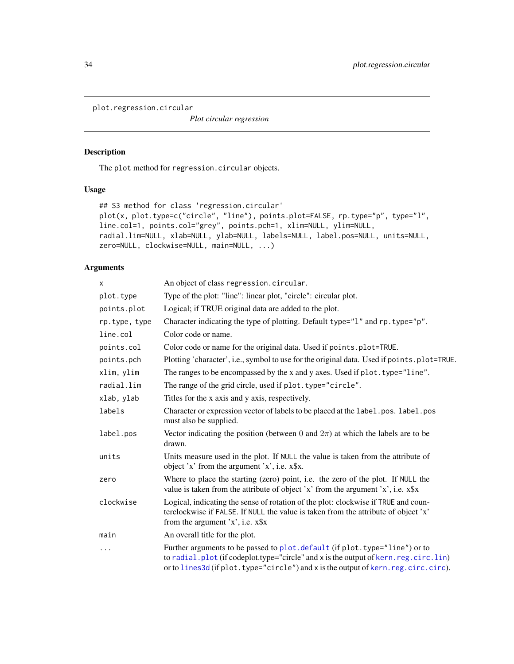<span id="page-33-1"></span><span id="page-33-0"></span>plot.regression.circular

*Plot circular regression*

## Description

The plot method for regression.circular objects.

## Usage

```
## S3 method for class 'regression.circular'
plot(x, plot.type=c("circle", "line"), points.plot=FALSE, rp.type="p", type="l",
line.col=1, points.col="grey", points.pch=1, xlim=NULL, ylim=NULL,
radial.lim=NULL, xlab=NULL, ylab=NULL, labels=NULL, label.pos=NULL, units=NULL,
zero=NULL, clockwise=NULL, main=NULL, ...)
```
## Arguments

| X             | An object of class regression.circular.                                                                                                                                                                                                                  |
|---------------|----------------------------------------------------------------------------------------------------------------------------------------------------------------------------------------------------------------------------------------------------------|
| plot.type     | Type of the plot: "line": linear plot, "circle": circular plot.                                                                                                                                                                                          |
| points.plot   | Logical; if TRUE original data are added to the plot.                                                                                                                                                                                                    |
| rp.type, type | Character indicating the type of plotting. Default type="1" and rp. type="p".                                                                                                                                                                            |
| line.col      | Color code or name.                                                                                                                                                                                                                                      |
| points.col    | Color code or name for the original data. Used if points.plot=TRUE.                                                                                                                                                                                      |
| points.pch    | Plotting 'character', i.e., symbol to use for the original data. Used if points . plot=TRUE.                                                                                                                                                             |
| xlim, ylim    | The ranges to be encompassed by the x and y axes. Used if plot. type="line".                                                                                                                                                                             |
| radial.lim    | The range of the grid circle, used if plot. type="circle".                                                                                                                                                                                               |
| xlab, ylab    | Titles for the x axis and y axis, respectively.                                                                                                                                                                                                          |
| labels        | Character or expression vector of labels to be placed at the label. pos. label. pos<br>must also be supplied.                                                                                                                                            |
| label.pos     | Vector indicating the position (between 0 and $2\pi$ ) at which the labels are to be<br>drawn.                                                                                                                                                           |
| units         | Units measure used in the plot. If NULL the value is taken from the attribute of<br>object 'x' from the argument 'x', i.e. x\$x.                                                                                                                         |
| zero          | Where to place the starting (zero) point, i.e. the zero of the plot. If NULL the<br>value is taken from the attribute of object 'x' from the argument 'x', i.e. $x$ \$x                                                                                  |
| clockwise     | Logical, indicating the sense of rotation of the plot: clockwise if TRUE and coun-<br>terclockwise if FALSE. If NULL the value is taken from the attribute of object 'x'<br>from the argument $x$ , i.e. $x$ \$x                                         |
| main          | An overall title for the plot.                                                                                                                                                                                                                           |
| $\cdots$      | Further arguments to be passed to plot. default (if plot. type="line") or to<br>to radial.plot (if codeplot.type="circle" and x is the output of kern.reg.circ.lin)<br>or to lines3d (if plot.type="circle") and x is the output of kern.reg.circ.circ). |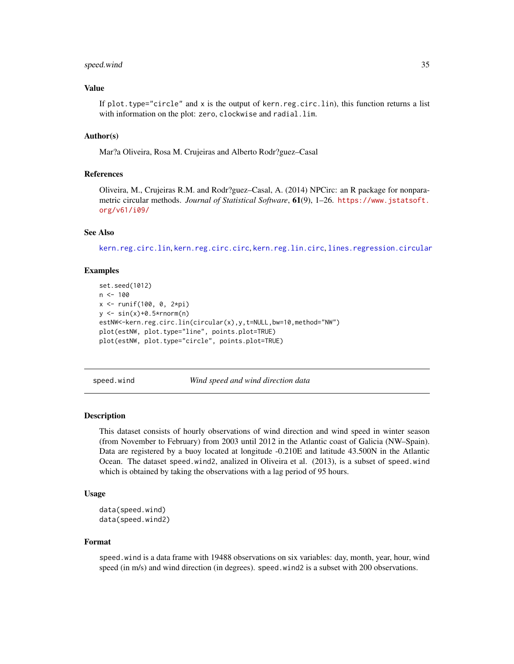#### <span id="page-34-0"></span>speed.wind 35

## Value

If plot.type="circle" and x is the output of kern.reg.circ.lin), this function returns a list with information on the plot: zero, clockwise and radial.lim.

#### Author(s)

Mar?a Oliveira, Rosa M. Crujeiras and Alberto Rodr?guez–Casal

## References

Oliveira, M., Crujeiras R.M. and Rodr?guez–Casal, A. (2014) NPCirc: an R package for nonparametric circular methods. *Journal of Statistical Software*, 61(9), 1–26. [https://www.jstatsoft.](https://www.jstatsoft.org/v61/i09/) [org/v61/i09/](https://www.jstatsoft.org/v61/i09/)

#### See Also

[kern.reg.circ.lin](#page-26-1), [kern.reg.circ.circ](#page-26-2), [kern.reg.lin.circ](#page-26-2), [lines.regression.circular](#page-28-1)

## Examples

```
set.seed(1012)
n < - 100x <- runif(100, 0, 2*pi)
y \leftarrow \sin(x)+0.5*rnorm(n)estNW<-kern.reg.circ.lin(circular(x),y,t=NULL,bw=10,method="NW")
plot(estNW, plot.type="line", points.plot=TRUE)
plot(estNW, plot.type="circle", points.plot=TRUE)
```
speed.wind *Wind speed and wind direction data*

#### Description

This dataset consists of hourly observations of wind direction and wind speed in winter season (from November to February) from 2003 until 2012 in the Atlantic coast of Galicia (NW–Spain). Data are registered by a buoy located at longitude -0.210E and latitude 43.500N in the Atlantic Ocean. The dataset speed.wind2, analized in Oliveira et al. (2013), is a subset of speed.wind which is obtained by taking the observations with a lag period of 95 hours.

#### Usage

```
data(speed.wind)
data(speed.wind2)
```
#### Format

speed.wind is a data frame with 19488 observations on six variables: day, month, year, hour, wind speed (in m/s) and wind direction (in degrees). speed.wind2 is a subset with 200 observations.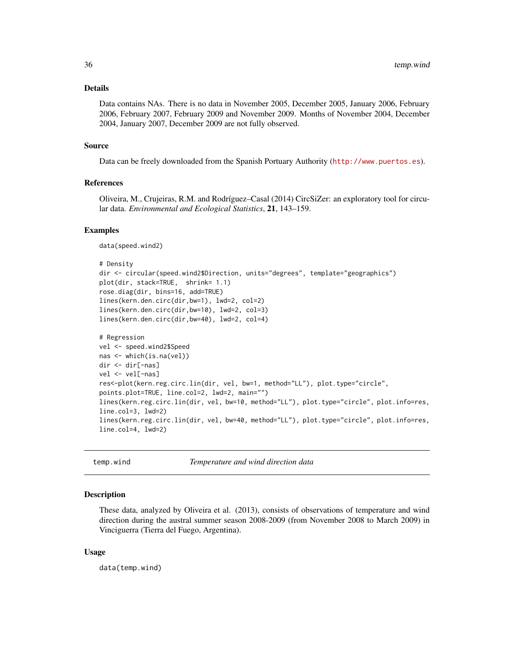#### <span id="page-35-0"></span>Details

Data contains NAs. There is no data in November 2005, December 2005, January 2006, February 2006, February 2007, February 2009 and November 2009. Months of November 2004, December 2004, January 2007, December 2009 are not fully observed.

#### Source

Data can be freely downloaded from the Spanish Portuary Authority (<http://www.puertos.es>).

## References

Oliveira, M., Crujeiras, R.M. and Rodríguez–Casal (2014) CircSiZer: an exploratory tool for circular data. *Environmental and Ecological Statistics*, 21, 143–159.

#### Examples

data(speed.wind2)

```
# Density
dir <- circular(speed.wind2$Direction, units="degrees", template="geographics")
plot(dir, stack=TRUE, shrink= 1.1)
rose.diag(dir, bins=16, add=TRUE)
lines(kern.den.circ(dir,bw=1), lwd=2, col=2)
lines(kern.den.circ(dir,bw=10), lwd=2, col=3)
lines(kern.den.circ(dir,bw=40), lwd=2, col=4)
```

```
# Regression
vel <- speed.wind2$Speed
nas <- which(is.na(vel))
dir <- dir[-nas]
vel <- vel[-nas]
res<-plot(kern.reg.circ.lin(dir, vel, bw=1, method="LL"), plot.type="circle",
points.plot=TRUE, line.col=2, lwd=2, main="")
lines(kern.reg.circ.lin(dir, vel, bw=10, method="LL"), plot.type="circle", plot.info=res,
line.col=3, lwd=2)
lines(kern.reg.circ.lin(dir, vel, bw=40, method="LL"), plot.type="circle", plot.info=res,
line.col=4, lwd=2)
```
temp.wind *Temperature and wind direction data*

#### **Description**

These data, analyzed by Oliveira et al. (2013), consists of observations of temperature and wind direction during the austral summer season 2008-2009 (from November 2008 to March 2009) in Vinciguerra (Tierra del Fuego, Argentina).

#### Usage

data(temp.wind)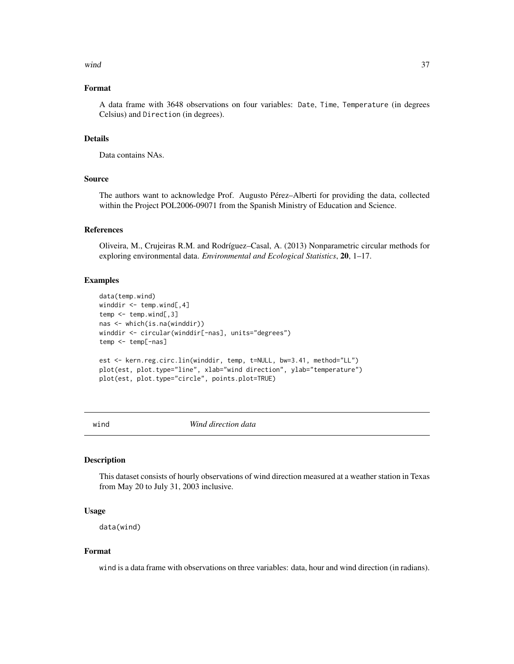#### <span id="page-36-0"></span> $\omega$  and  $\omega$  37

## Format

A data frame with 3648 observations on four variables: Date, Time, Temperature (in degrees Celsius) and Direction (in degrees).

## Details

Data contains NAs.

## Source

The authors want to acknowledge Prof. Augusto Pérez–Alberti for providing the data, collected within the Project POL2006-09071 from the Spanish Ministry of Education and Science.

#### References

Oliveira, M., Crujeiras R.M. and Rodríguez–Casal, A. (2013) Nonparametric circular methods for exploring environmental data. *Environmental and Ecological Statistics*, 20, 1–17.

## Examples

```
data(temp.wind)
winddir <- temp.wind[,4]
temp \leftarrow temp<u>.\text{wind}[, 3]</u>
nas <- which(is.na(winddir))
winddir <- circular(winddir[-nas], units="degrees")
temp <- temp[-nas]
est <- kern.reg.circ.lin(winddir, temp, t=NULL, bw=3.41, method="LL")
plot(est, plot.type="line", xlab="wind direction", ylab="temperature")
plot(est, plot.type="circle", points.plot=TRUE)
```
wind *Wind direction data*

#### Description

This dataset consists of hourly observations of wind direction measured at a weather station in Texas from May 20 to July 31, 2003 inclusive.

## Usage

data(wind)

## Format

wind is a data frame with observations on three variables: data, hour and wind direction (in radians).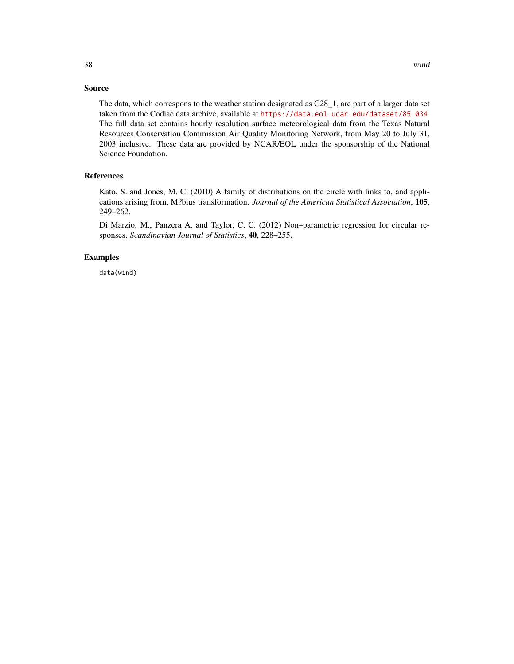The data, which correspons to the weather station designated as C28\_1, are part of a larger data set taken from the Codiac data archive, available at <https://data.eol.ucar.edu/dataset/85.034>. The full data set contains hourly resolution surface meteorological data from the Texas Natural Resources Conservation Commission Air Quality Monitoring Network, from May 20 to July 31, 2003 inclusive. These data are provided by NCAR/EOL under the sponsorship of the National Science Foundation.

## References

Kato, S. and Jones, M. C. (2010) A family of distributions on the circle with links to, and applications arising from, M?bius transformation. *Journal of the American Statistical Association*, 105, 249–262.

Di Marzio, M., Panzera A. and Taylor, C. C. (2012) Non–parametric regression for circular responses. *Scandinavian Journal of Statistics*, 40, 228–255.

## Examples

data(wind)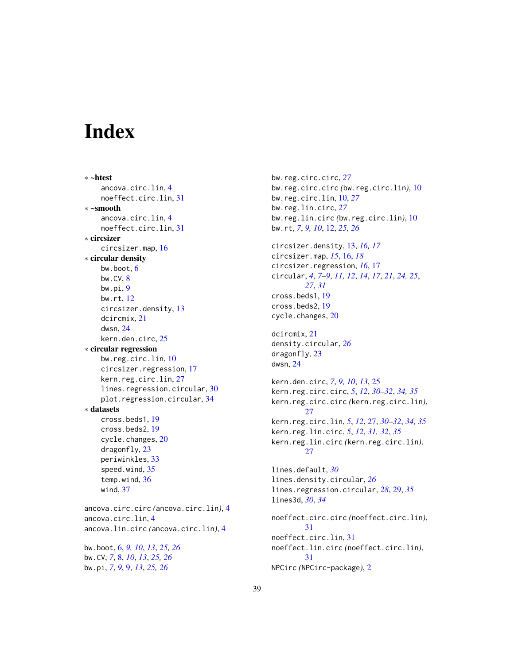# <span id="page-38-0"></span>**Index**

∗ ~htest ancova.circ.lin, [4](#page-3-0) noeffect.circ.lin, [31](#page-30-0) ∗ ~smooth ancova.circ.lin, [4](#page-3-0) noeffect.circ.lin, [31](#page-30-0) ∗ circsizer circsizer.map, [16](#page-15-0) ∗ circular density bw.boot, [6](#page-5-0) bw.CV, [8](#page-7-0) bw.pi, [9](#page-8-0) bw.rt, [12](#page-11-0) circsizer.density, [13](#page-12-0) dcircmix, [21](#page-20-0) dwsn, [24](#page-23-0) kern.den.circ, [25](#page-24-0) ∗ circular regression bw.reg.circ.lin, [10](#page-9-0) circsizer.regression, [17](#page-16-0) kern.reg.circ.lin, [27](#page-26-0) lines.regression.circular, [30](#page-29-0) plot.regression.circular, [34](#page-33-0) ∗ datasets cross.beds1, [19](#page-18-0) cross.beds2, [19](#page-18-0) cycle.changes, [20](#page-19-0) dragonfly, [23](#page-22-0) periwinkles, [33](#page-32-0) speed.wind, [35](#page-34-0) temp.wind, [36](#page-35-0) wind, [37](#page-36-0) ancova.circ.circ *(*ancova.circ.lin*)*, [4](#page-3-0) ancova.circ.lin, [4](#page-3-0) ancova.lin.circ *(*ancova.circ.lin*)*, [4](#page-3-0) bw.boot, [6,](#page-5-0) *[9,](#page-8-0) [10](#page-9-0)*, *[13](#page-12-0)*, *[25,](#page-24-0) [26](#page-25-0)*

bw.CV, *[7](#page-6-0)*, [8,](#page-7-0) *[10](#page-9-0)*, *[13](#page-12-0)*, *[25,](#page-24-0) [26](#page-25-0)* bw.pi, *[7](#page-6-0)*, *[9](#page-8-0)*, [9,](#page-8-0) *[13](#page-12-0)*, *[25,](#page-24-0) [26](#page-25-0)*

bw.reg.circ.circ, *[27](#page-26-0)* bw.reg.circ.circ *(*bw.reg.circ.lin*)*, [10](#page-9-0) bw.reg.circ.lin, [10,](#page-9-0) *[27](#page-26-0)* bw.reg.lin.circ, *[27](#page-26-0)* bw.reg.lin.circ *(*bw.reg.circ.lin*)*, [10](#page-9-0) bw.rt, *[7](#page-6-0)*, *[9,](#page-8-0) [10](#page-9-0)*, [12,](#page-11-0) *[25,](#page-24-0) [26](#page-25-0)* circsizer.density, [13,](#page-12-0) *[16,](#page-15-0) [17](#page-16-0)* circsizer.map, *[15](#page-14-0)*, [16,](#page-15-0) *[18](#page-17-0)* circsizer.regression, *[16](#page-15-0)*, [17](#page-16-0) circular, *[4](#page-3-0)*, *[7](#page-6-0)[–9](#page-8-0)*, *[11,](#page-10-0) [12](#page-11-0)*, *[14](#page-13-0)*, *[17](#page-16-0)*, *[21](#page-20-0)*, *[24,](#page-23-0) [25](#page-24-0)*, *[27](#page-26-0)*, *[31](#page-30-0)* cross.beds1, [19](#page-18-0) cross.beds2, [19](#page-18-0) cycle.changes, [20](#page-19-0) dcircmix, [21](#page-20-0) density.circular, *[26](#page-25-0)* dragonfly, [23](#page-22-0) dwsn, [24](#page-23-0) kern.den.circ, *[7](#page-6-0)*, *[9,](#page-8-0) [10](#page-9-0)*, *[13](#page-12-0)*, [25](#page-24-0) kern.reg.circ.circ, *[5](#page-4-0)*, *[12](#page-11-0)*, *[30](#page-29-0)[–32](#page-31-0)*, *[34,](#page-33-0) [35](#page-34-0)* kern.reg.circ.circ *(*kern.reg.circ.lin*)*, [27](#page-26-0) kern.reg.circ.lin, *[5](#page-4-0)*, *[12](#page-11-0)*, [27,](#page-26-0) *[30](#page-29-0)[–32](#page-31-0)*, *[34,](#page-33-0) [35](#page-34-0)* kern.reg.lin.circ, *[5](#page-4-0)*, *[12](#page-11-0)*, *[31,](#page-30-0) [32](#page-31-0)*, *[35](#page-34-0)* kern.reg.lin.circ *(*kern.reg.circ.lin*)*,  $27$ lines.default, *[30](#page-29-0)* lines.density.circular, *[26](#page-25-0)* lines.regression.circular, *[28](#page-27-0)*, [29,](#page-28-0) *[35](#page-34-0)* lines3d, *[30](#page-29-0)*, *[34](#page-33-0)* noeffect.circ.circ *(*noeffect.circ.lin*)*, [31](#page-30-0) noeffect.circ.lin, [31](#page-30-0) noeffect.lin.circ *(*noeffect.circ.lin*)*, [31](#page-30-0) NPCirc *(*NPCirc-package*)*, [2](#page-1-0)